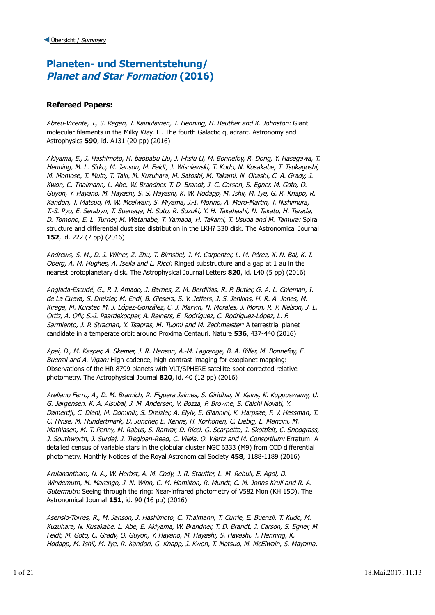## **Planeten- und Sternentstehung/ Planet and Star Formation (2016)**

### **Refereed Papers:**

Abreu-Vicente, J., S. Ragan, J. Kainulainen, T. Henning, H. Beuther and K. Johnston: Giant molecular filaments in the Milky Way. II. The fourth Galactic quadrant. Astronomy and Astrophysics **590**, id. A131 (20 pp) (2016)

Akiyama, E., J. Hashimoto, H. baobabu Liu, J. i-hsiu Li, M. Bonnefoy, R. Dong, Y. Hasegawa, T. Henning, M. L. Sitko, M. Janson, M. Feldt, J. Wisniewski, T. Kudo, N. Kusakabe, T. Tsukagoshi, M. Momose, T. Muto, T. Taki, M. Kuzuhara, M. Satoshi, M. Takami, N. Ohashi, C. A. Grady, J. Kwon, C. Thalmann, L. Abe, W. Brandner, T. D. Brandt, J. C. Carson, S. Egner, M. Goto, O. Guyon, Y. Hayano, M. Hayashi, S. S. Hayashi, K. W. Hodapp, M. Ishii, M. Iye, G. R. Knapp, R. Kandori, T. Matsuo, M. W. Mcelwain, S. Miyama, J.-I. Morino, A. Moro-Martin, T. Nishimura, T.-S. Pyo, E. Serabyn, T. Suenaga, H. Suto, R. Suzuki, Y. H. Takahashi, N. Takato, H. Terada, D. Tomono, E. L. Turner, M. Watanabe, T. Yamada, H. Takami, T. Usuda and M. Tamura: Spiral structure and differential dust size distribution in the LKH? 330 disk. The Astronomical Journal **152**, id. 222 (7 pp) (2016)

Andrews, S. M., D. J. Wilner, Z. Zhu, T. Birnstiel, J. M. Carpenter, L. M. Pérez, X.-N. Bai, K. I.  $Öberg$ , A. M. Hughes, A. Isella and L. Ricci: Ringed substructure and a gap at 1 au in the nearest protoplanetary disk. The Astrophysical Journal Letters **820**, id. L40 (5 pp) (2016)

Anglada-Escudé, G., P. J. Amado, J. Barnes, Z. M. Berdiñas, R. P. Butler, G. A. L. Coleman, I. de La Cueva, S. Dreizler, M. Endl, B. Giesers, S. V. Jeffers, J. S. Jenkins, H. R. A. Jones, M. Kiraga, M. Kürster, M. J. López-González, C. J. Marvin, N. Morales, J. Morin, R. P. Nelson, J. L. Ortiz, A. Ofir, S.-J. Paardekooper, A. Reiners, E. Rodríguez, C. Rodríguez-López, L. F. Sarmiento, J. P. Strachan, Y. Tsapras, M. Tuomi and M. Zechmeister: A terrestrial planet candidate in a temperate orbit around Proxima Centauri. Nature **536**, 437-440 (2016)

Apai, D., M. Kasper, A. Skemer, J. R. Hanson, A.-M. Lagrange, B. A. Biller, M. Bonnefoy, E. Buenzli and A. Vigan: High-cadence, high-contrast imaging for exoplanet mapping: Observations of the HR 8799 planets with VLT/SPHERE satellite-spot-corrected relative photometry. The Astrophysical Journal **820**, id. 40 (12 pp) (2016)

Arellano Ferro, A., D. M. Bramich, R. Figuera Jaimes, S. Giridhar, N. Kains, K. Kuppuswamy, U. G. Jørgensen, K. A. Alsubai, J. M. Andersen, V. Bozza, P. Browne, S. Calchi Novati, Y. Damerdji, C. Diehl, M. Dominik, S. Dreizler, A. Elyiv, E. Giannini, K. Harpsøe, F. V. Hessman, T. C. Hinse, M. Hundertmark, D. Juncher, E. Kerins, H. Korhonen, C. Liebig, L. Mancini, M. Mathiasen, M. T. Penny, M. Rabus, S. Rahvar, D. Ricci, G. Scarpetta, J. Skottfelt, C. Snodgrass, J. Southworth, J. Surdej, J. Tregloan-Reed, C. Vilela, O. Wertz and M. Consortium: Erratum: A detailed census of variable stars in the globular cluster NGC 6333 (M9) from CCD differential photometry. Monthly Notices of the Royal Astronomical Society **458**, 1188-1189 (2016)

Arulanantham, N. A., W. Herbst, A. M. Cody, J. R. Stauffer, L. M. Rebull, E. Agol, D. Windemuth, M. Marengo, J. N. Winn, C. M. Hamilton, R. Mundt, C. M. Johns-Krull and R. A. Gutermuth: Seeing through the ring: Near-infrared photometry of V582 Mon (KH 15D). The Astronomical Journal **151**, id. 90 (16 pp) (2016)

Asensio-Torres, R., M. Janson, J. Hashimoto, C. Thalmann, T. Currie, E. Buenzli, T. Kudo, M. Kuzuhara, N. Kusakabe, L. Abe, E. Akiyama, W. Brandner, T. D. Brandt, J. Carson, S. Egner, M. Feldt, M. Goto, C. Grady, O. Guyon, Y. Hayano, M. Hayashi, S. Hayashi, T. Henning, K. Hodapp, M. Ishii, M. Iye, R. Kandori, G. Knapp, J. Kwon, T. Matsuo, M. McElwain, S. Mayama,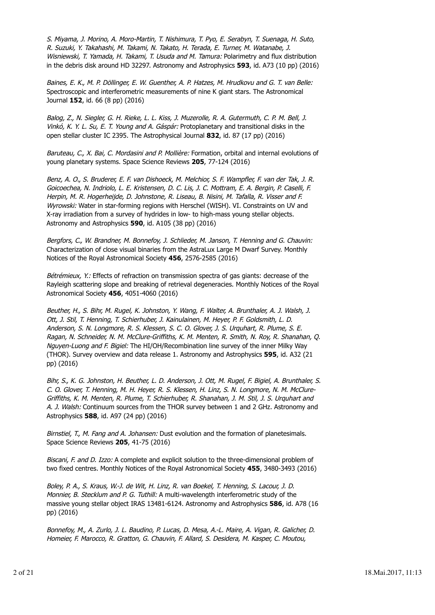S. Miyama, J. Morino, A. Moro-Martin, T. Nishimura, T. Pyo, E. Serabyn, T. Suenaga, H. Suto, R. Suzuki, Y. Takahashi, M. Takami, N. Takato, H. Terada, E. Turner, M. Watanabe, J. Wisniewski, T. Yamada, H. Takami, T. Usuda and M. Tamura: Polarimetry and flux distribution in the debris disk around HD 32297. Astronomy and Astrophysics **593**, id. A73 (10 pp) (2016)

Baines, E. K., M. P. Döllinger, E. W. Guenther, A. P. Hatzes, M. Hrudkovu and G. T. van Belle: Spectroscopic and interferometric measurements of nine K giant stars. The Astronomical Journal **152**, id. 66 (8 pp) (2016)

Balog, Z., N. Siegler, G. H. Rieke, L. L. Kiss, J. Muzerolle, R. A. Gutermuth, C. P. M. Bell, J. Vinkó, K. Y. L. Su, E. T. Young and A. Gáspár: Protoplanetary and transitional disks in the open stellar cluster IC 2395. The Astrophysical Journal **832**, id. 87 (17 pp) (2016)

Baruteau, C., X. Bai, C. Mordasini and P. Mollière: Formation, orbital and internal evolutions of young planetary systems. Space Science Reviews **205**, 77-124 (2016)

Benz, A. O., S. Bruderer, E. F. van Dishoeck, M. Melchior, S. F. Wampfler, F. van der Tak, J. R. Goicoechea, N. Indriolo, L. E. Kristensen, D. C. Lis, J. C. Mottram, E. A. Bergin, P. Caselli, F. Herpin, M. R. Hogerheijde, D. Johnstone, R. Liseau, B. Nisini, M. Tafalla, R. Visser and F. Wyrowski: Water in star-forming regions with Herschel (WISH). VI. Constraints on UV and X-ray irradiation from a survey of hydrides in low- to high-mass young stellar objects. Astronomy and Astrophysics **590**, id. A105 (38 pp) (2016)

Bergfors, C., W. Brandner, M. Bonnefoy, J. Schlieder, M. Janson, T. Henning and G. Chauvin: Characterization of close visual binaries from the AstraLux Large M Dwarf Survey. Monthly Notices of the Royal Astronomical Society **456**, 2576-2585 (2016)

Bétrémieux, Y.: Effects of refraction on transmission spectra of gas giants: decrease of the Rayleigh scattering slope and breaking of retrieval degeneracies. Monthly Notices of the Royal Astronomical Society **456**, 4051-4060 (2016)

Beuther, H., S. Bihr, M. Rugel, K. Johnston, Y. Wang, F. Walter, A. Brunthaler, A. J. Walsh, J. Ott, J. Stil, T. Henning, T. Schierhuber, J. Kainulainen, M. Heyer, P. F. Goldsmith, L. D. Anderson, S. N. Longmore, R. S. Klessen, S. C. O. Glover, J. S. Urquhart, R. Plume, S. E. Ragan, N. Schneider, N. M. McClure-Griffiths, K. M. Menten, R. Smith, N. Roy, R. Shanahan, Q. Nguyen-Luong and F. Bigiel: The HI/OH/Recombination line survey of the inner Milky Way (THOR). Survey overview and data release 1. Astronomy and Astrophysics **595**, id. A32 (21 pp) (2016)

Bihr, S., K. G. Johnston, H. Beuther, L. D. Anderson, J. Ott, M. Rugel, F. Bigiel, A. Brunthaler, S. C. O. Glover, T. Henning, M. H. Heyer, R. S. Klessen, H. Linz, S. N. Longmore, N. M. McClure-Griffiths, K. M. Menten, R. Plume, T. Schierhuber, R. Shanahan, J. M. Stil, J. S. Urquhart and A. J. Walsh: Continuum sources from the THOR survey between 1 and 2 GHz. Astronomy and Astrophysics **588**, id. A97 (24 pp) (2016)

Birnstiel, T., M. Fang and A. Johansen: Dust evolution and the formation of planetesimals. Space Science Reviews **205**, 41-75 (2016)

Biscani, F. and D. Izzo: A complete and explicit solution to the three-dimensional problem of two fixed centres. Monthly Notices of the Royal Astronomical Society **455**, 3480-3493 (2016)

Boley, P. A., S. Kraus, W.-J. de Wit, H. Linz, R. van Boekel, T. Henning, S. Lacour, J. D. Monnier, B. Stecklum and P. G. Tuthill: A multi-wavelength interferometric study of the massive young stellar object IRAS 13481-6124. Astronomy and Astrophysics **586**, id. A78 (16 pp) (2016)

Bonnefoy, M., A. Zurlo, J. L. Baudino, P. Lucas, D. Mesa, A.-L. Maire, A. Vigan, R. Galicher, D. Homeier, F. Marocco, R. Gratton, G. Chauvin, F. Allard, S. Desidera, M. Kasper, C. Moutou,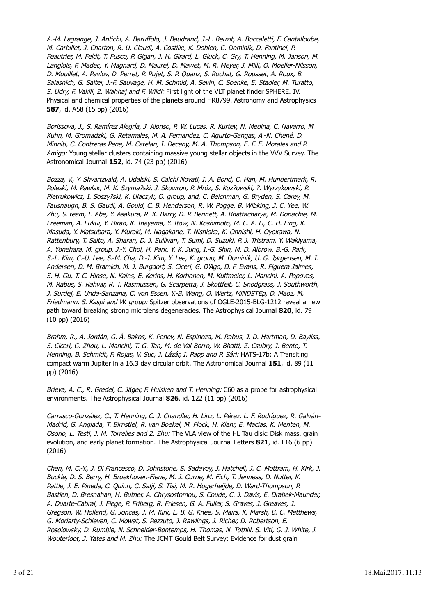A.-M. Lagrange, J. Antichi, A. Baruffolo, J. Baudrand, J.-L. Beuzit, A. Boccaletti, F. Cantalloube, M. Carbillet, J. Charton, R. U. Claudi, A. Costille, K. Dohlen, C. Dominik, D. Fantinel, P. Feautrier, M. Feldt, T. Fusco, P. Gigan, J. H. Girard, L. Gluck, C. Gry, T. Henning, M. Janson, M. Langlois, F. Madec, Y. Magnard, D. Maurel, D. Mawet, M. R. Meyer, J. Milli, O. Moeller-Nilsson, D. Mouillet, A. Pavlov, D. Perret, P. Pujet, S. P. Quanz, S. Rochat, G. Rousset, A. Roux, B. Salasnich, G. Salter, J.-F. Sauvage, H. M. Schmid, A. Sevin, C. Soenke, E. Stadler, M. Turatto, S. Udry, F. Vakili, Z. Wahhaj and F. Wildi: First light of the VLT planet finder SPHERE. IV. Physical and chemical properties of the planets around HR8799. Astronomy and Astrophysics **587**, id. A58 (15 pp) (2016)

Borissova, J., S. Ramírez Alegría, J. Alonso, P. W. Lucas, R. Kurtev, N. Medina, C. Navarro, M. Kuhn, M. Gromadzki, G. Retamales, M. A. Fernandez, C. Agurto-Gangas, A.-N. Chené, D. Minniti, C. Contreras Pena, M. Catelan, I. Decany, M. A. Thompson, E. F. E. Morales and P. Amigo: Young stellar clusters containing massive young stellar objects in the VVV Survey. The Astronomical Journal **152**, id. 74 (23 pp) (2016)

Bozza, V., Y. Shvartzvald, A. Udalski, S. Calchi Novati, I. A. Bond, C. Han, M. Hundertmark, R. Poleski, M. Pawlak, M. K. Szyma?ski, J. Skowron, P. Mróz, S. Koz?owski, ?. Wyrzykowski, P. Pietrukowicz, I. Soszy?ski, K. Ulaczyk, O. group, and, C. Beichman, G. Bryden, S. Carey, M. Fausnaugh, B. S. Gaudi, A. Gould, C. B. Henderson, R. W. Pogge, B. Wibking, J. C. Yee, W. Zhu, S. team, F. Abe, Y. Asakura, R. K. Barry, D. P. Bennett, A. Bhattacharya, M. Donachie, M. Freeman, A. Fukui, Y. Hirao, K. Inayama, Y. Itow, N. Koshimoto, M. C. A. Li, C. H. Ling, K. Masuda, Y. Matsubara, Y. Muraki, M. Nagakane, T. Nishioka, K. Ohnishi, H. Oyokawa, N. Rattenbury, T. Saito, A. Sharan, D. J. Sullivan, T. Sumi, D. Suzuki, P. J. Tristram, Y. Wakiyama, A. Yonehara, M. group, J.-Y. Choi, H. Park, Y. K. Jung, I.-G. Shin, M. D. Albrow, B.-G. Park, S.-L. Kim, C.-U. Lee, S.-M. Cha, D.-J. Kim, Y. Lee, K. group, M. Dominik, U. G. Jørgensen, M. I. Andersen, D. M. Bramich, M. J. Burgdorf, S. Ciceri, G. D'Ago, D. F. Evans, R. Figuera Jaimes, S.-H. Gu, T. C. Hinse, N. Kains, E. Kerins, H. Korhonen, M. Kuffmeier, L. Mancini, A. Popovas, M. Rabus, S. Rahvar, R. T. Rasmussen, G. Scarpetta, J. Skottfelt, C. Snodgrass, J. Southworth, J. Surdej, E. Unda-Sanzana, C. von Essen, Y.-B. Wang, O. Wertz, MiNDSTEp, D. Maoz, M. Friedmann, S. Kaspi and W. group: Spitzer observations of OGLE-2015-BLG-1212 reveal a new path toward breaking strong microlens degeneracies. The Astrophysical Journal **820**, id. 79 (10 pp) (2016)

Brahm, R., A. Jordán, G. Á. Bakos, K. Penev, N. Espinoza, M. Rabus, J. D. Hartman, D. Bayliss, S. Ciceri, G. Zhou, L. Mancini, T. G. Tan, M. de Val-Borro, W. Bhatti, Z. Csubry, J. Bento, T. Henning, B. Schmidt, F. Rojas, V. Suc, J. Lázár, I. Papp and P. Sári: HATS-17b: A Transiting compact warm Jupiter in a 16.3 day circular orbit. The Astronomical Journal **151**, id. 89 (11 pp) (2016)

Brieva, A. C., R. Gredel, C. Jäger, F. Huisken and T. Henning: C60 as a probe for astrophysical environments. The Astrophysical Journal **826**, id. 122 (11 pp) (2016)

Carrasco-González, C., T. Henning, C. J. Chandler, H. Linz, L. Pérez, L. F. Rodríguez, R. Galván-Madrid, G. Anglada, T. Birnstiel, R. van Boekel, M. Flock, H. Klahr, E. Macias, K. Menten, M. Osorio, L. Testi, J. M. Torrelles and Z. Zhu: The VLA view of the HL Tau disk: Disk mass, grain evolution, and early planet formation. The Astrophysical Journal Letters **821**, id. L16 (6 pp) (2016)

Chen, M. C.-Y., J. Di Francesco, D. Johnstone, S. Sadavoy, J. Hatchell, J. C. Mottram, H. Kirk, J. Buckle, D. S. Berry, H. Broekhoven-Fiene, M. J. Currie, M. Fich, T. Jenness, D. Nutter, K. Pattle, J. E. Pineda, C. Quinn, C. Salji, S. Tisi, M. R. Hogerheijde, D. Ward-Thompson, P. Bastien, D. Bresnahan, H. Butner, A. Chrysostomou, S. Coude, C. J. Davis, E. Drabek-Maunder, A. Duarte-Cabral, J. Fiege, P. Friberg, R. Friesen, G. A. Fuller, S. Graves, J. Greaves, J. Gregson, W. Holland, G. Joncas, J. M. Kirk, L. B. G. Knee, S. Mairs, K. Marsh, B. C. Matthews, G. Moriarty-Schieven, C. Mowat, S. Pezzuto, J. Rawlings, J. Richer, D. Robertson, E. Rosolowsky, D. Rumble, N. Schneider-Bontemps, H. Thomas, N. Tothill, S. Viti, G. J. White, J. Wouterloot, J. Yates and M. Zhu: The JCMT Gould Belt Survey: Evidence for dust grain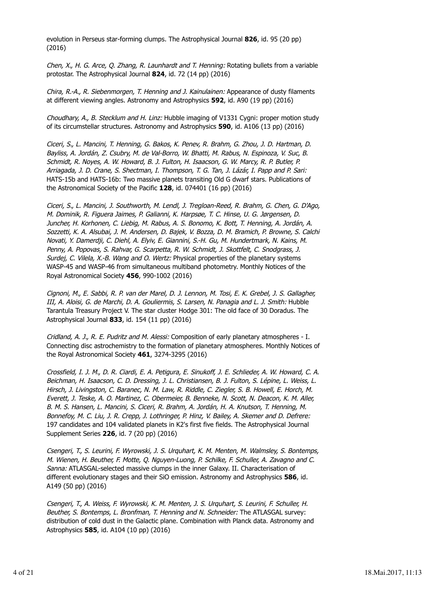evolution in Perseus star-forming clumps. The Astrophysical Journal **826**, id. 95 (20 pp) (2016)

Chen, X., H. G. Arce, Q. Zhang, R. Launhardt and T. Henning: Rotating bullets from a variable protostar. The Astrophysical Journal **824**, id. 72 (14 pp) (2016)

Chira, R.-A., R. Siebenmorgen, T. Henning and J. Kainulainen: Appearance of dusty filaments at different viewing angles. Astronomy and Astrophysics **592**, id. A90 (19 pp) (2016)

Choudhary, A., B. Stecklum and H. Linz: Hubble imaging of V1331 Cygni: proper motion study of its circumstellar structures. Astronomy and Astrophysics **590**, id. A106 (13 pp) (2016)

Ciceri, S., L. Mancini, T. Henning, G. Bakos, K. Penev, R. Brahm, G. Zhou, J. D. Hartman, D. Bayliss, A. Jordán, Z. Csubry, M. de Val-Borro, W. Bhatti, M. Rabus, N. Espinoza, V. Suc, B. Schmidt, R. Noyes, A. W. Howard, B. J. Fulton, H. Isaacson, G. W. Marcy, R. P. Butler, P. Arriagada, J. D. Crane, S. Shectman, I. Thompson, T. G. Tan, J. Lázár, I. Papp and P. Sari: HATS-15b and HATS-16b: Two massive planets transiting Old G dwarf stars. Publications of the Astronomical Society of the Pacific **128**, id. 074401 (16 pp) (2016)

Ciceri, S., L. Mancini, J. Southworth, M. Lendl, J. Tregloan-Reed, R. Brahm, G. Chen, G. D'Ago, M. Dominik, R. Figuera Jaimes, P. Galianni, K. Harpsøe, T. C. Hinse, U. G. Jørgensen, D. Juncher, H. Korhonen, C. Liebig, M. Rabus, A. S. Bonomo, K. Bott, T. Henning, A. Jordán, A. Sozzetti, K. A. Alsubai, J. M. Andersen, D. Bajek, V. Bozza, D. M. Bramich, P. Browne, S. Calchi Novati, Y. Damerdji, C. Diehl, A. Elyiv, E. Giannini, S.-H. Gu, M. Hundertmark, N. Kains, M. Penny, A. Popovas, S. Rahvar, G. Scarpetta, R. W. Schmidt, J. Skottfelt, C. Snodgrass, J. Surdej, C. Vilela, X.-B. Wang and O. Wertz: Physical properties of the planetary systems WASP-45 and WASP-46 from simultaneous multiband photometry. Monthly Notices of the Royal Astronomical Society **456**, 990-1002 (2016)

Cignoni, M., E. Sabbi, R. P. van der Marel, D. J. Lennon, M. Tosi, E. K. Grebel, J. S. Gallagher, III, A. Aloisi, G. de Marchi, D. A. Gouliermis, S. Larsen, N. Panagia and L. J. Smith: Hubble Tarantula Treasury Project V. The star cluster Hodge 301: The old face of 30 Doradus. The Astrophysical Journal **833**, id. 154 (11 pp) (2016)

Cridland, A. J., R. E. Pudritz and M. Alessi: Composition of early planetary atmospheres - I. Connecting disc astrochemistry to the formation of planetary atmospheres. Monthly Notices of the Royal Astronomical Society **461**, 3274-3295 (2016)

Crossfield, I. J. M., D. R. Ciardi, E. A. Petigura, E. Sinukoff, J. E. Schlieder, A. W. Howard, C. A. Beichman, H. Isaacson, C. D. Dressing, J. L. Christiansen, B. J. Fulton, S. Lépine, L. Weiss, L. Hirsch, J. Livingston, C. Baranec, N. M. Law, R. Riddle, C. Ziegler, S. B. Howell, E. Horch, M. Everett, J. Teske, A. O. Martinez, C. Obermeier, B. Benneke, N. Scott, N. Deacon, K. M. Aller, B. M. S. Hansen, L. Mancini, S. Ciceri, R. Brahm, A. Jordán, H. A. Knutson, T. Henning, M. Bonnefoy, M. C. Liu, J. R. Crepp, J. Lothringer, P. Hinz, V. Bailey, A. Skemer and D. Defrere: 197 candidates and 104 validated planets in K2's first five fields. The Astrophysical Journal Supplement Series **226**, id. 7 (20 pp) (2016)

Csengeri, T., S. Leurini, F. Wyrowski, J. S. Urquhart, K. M. Menten, M. Walmsley, S. Bontemps, M. Wienen, H. Beuther, F. Motte, Q. Nguyen-Luong, P. Schilke, F. Schuller, A. Zavagno and C. Sanna: ATLASGAL-selected massive clumps in the inner Galaxy. II. Characterisation of different evolutionary stages and their SiO emission. Astronomy and Astrophysics **586**, id. A149 (50 pp) (2016)

Csengeri, T., A. Weiss, F. Wyrowski, K. M. Menten, J. S. Urquhart, S. Leurini, F. Schuller, H. Beuther, S. Bontemps, L. Bronfman, T. Henning and N. Schneider: The ATLASGAL survey: distribution of cold dust in the Galactic plane. Combination with Planck data. Astronomy and Astrophysics **585**, id. A104 (10 pp) (2016)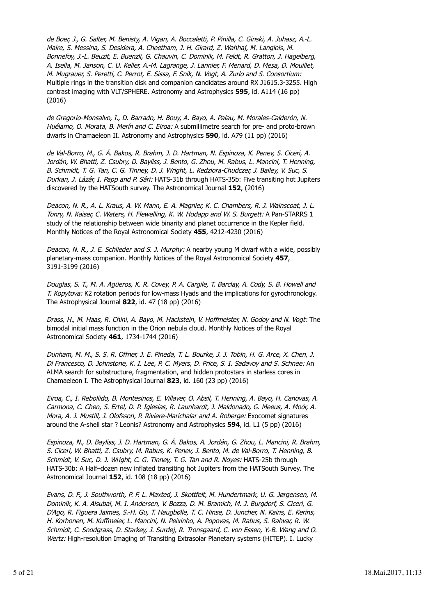de Boer, J., G. Salter, M. Benisty, A. Vigan, A. Boccaletti, P. Pinilla, C. Ginski, A. Juhasz, A.-L. Maire, S. Messina, S. Desidera, A. Cheetham, J. H. Girard, Z. Wahhaj, M. Langlois, M. Bonnefoy, J.-L. Beuzit, E. Buenzli, G. Chauvin, C. Dominik, M. Feldt, R. Gratton, J. Hagelberg, A. Isella, M. Janson, C. U. Keller, A.-M. Lagrange, J. Lannier, F. Menard, D. Mesa, D. Mouillet, M. Mugrauer, S. Peretti, C. Perrot, E. Sissa, F. Snik, N. Vogt, A. Zurlo and S. Consortium: Multiple rings in the transition disk and companion candidates around RX J1615.3-3255. High contrast imaging with VLT/SPHERE. Astronomy and Astrophysics **595**, id. A114 (16 pp) (2016)

de Gregorio-Monsalvo, I., D. Barrado, H. Bouy, A. Bayo, A. Palau, M. Morales-Calderón, N. Huélamo, O. Morata, B. Merín and C. Eiroa: A submillimetre search for pre- and proto-brown dwarfs in Chamaeleon II. Astronomy and Astrophysics **590**, id. A79 (11 pp) (2016)

de Val-Borro, M., G. Á. Bakos, R. Brahm, J. D. Hartman, N. Espinoza, K. Penev, S. Ciceri, A. Jordán, W. Bhatti, Z. Csubry, D. Bayliss, J. Bento, G. Zhou, M. Rabus, L. Mancini, T. Henning, B. Schmidt, T. G. Tan, C. G. Tinney, D. J. Wright, L. Kedziora-Chudczer, J. Bailey, V. Suc, S. Durkan, J. Lázár, I. Papp and P. Sári: HATS-31b through HATS-35b: Five transiting hot Jupiters discovered by the HATSouth survey. The Astronomical Journal **152**, (2016)

Deacon, N. R., A. L. Kraus, A. W. Mann, E. A. Magnier, K. C. Chambers, R. J. Wainscoat, J. L. Tonry, N. Kaiser, C. Waters, H. Flewelling, K. W. Hodapp and W. S. Burgett: A Pan-STARRS 1 study of the relationship between wide binarity and planet occurrence in the Kepler field. Monthly Notices of the Royal Astronomical Society **455**, 4212-4230 (2016)

Deacon, N. R., J. E. Schlieder and S. J. Murphy: A nearby young M dwarf with a wide, possibly planetary-mass companion. Monthly Notices of the Royal Astronomical Society **457**, 3191-3199 (2016)

Douglas, S. T., M. A. Agüeros, K. R. Covey, P. A. Cargile, T. Barclay, A. Cody, S. B. Howell and T. Kopytova: K2 rotation periods for low-mass Hyads and the implications for gyrochronology. The Astrophysical Journal **822**, id. 47 (18 pp) (2016)

Drass, H., M. Haas, R. Chini, A. Bayo, M. Hackstein, V. Hoffmeister, N. Godoy and N. Vogt: The bimodal initial mass function in the Orion nebula cloud. Monthly Notices of the Royal Astronomical Society **461**, 1734-1744 (2016)

Dunham, M. M., S. S. R. Offner, J. E. Pineda, T. L. Bourke, J. J. Tobin, H. G. Arce, X. Chen, J. Di Francesco, D. Johnstone, K. I. Lee, P. C. Myers, D. Price, S. I. Sadavoy and S. Schnee: An ALMA search for substructure, fragmentation, and hidden protostars in starless cores in Chamaeleon I. The Astrophysical Journal **823**, id. 160 (23 pp) (2016)

Eiroa, C., I. Rebollido, B. Montesinos, E. Villaver, O. Absil, T. Henning, A. Bayo, H. Canovas, A. Carmona, C. Chen, S. Ertel, D. P. Iglesias, R. Launhardt, J. Maldonado, G. Meeus, A. Moór, A. Mora, A. J. Mustill, J. Olofsson, P. Riviere-Marichalar and A. Roberge: Exocomet signatures around the A-shell star ? Leonis? Astronomy and Astrophysics **594**, id. L1 (5 pp) (2016)

Espinoza, N., D. Bayliss, J. D. Hartman, G. Á. Bakos, A. Jordán, G. Zhou, L. Mancini, R. Brahm, S. Ciceri, W. Bhatti, Z. Csubry, M. Rabus, K. Penev, J. Bento, M. de Val-Borro, T. Henning, B. Schmidt, V. Suc, D. J. Wright, C. G. Tinney, T. G. Tan and R. Noyes: HATS-25b through HATS-30b: A Half–dozen new inflated transiting hot Jupiters from the HATSouth Survey. The Astronomical Journal **152**, id. 108 (18 pp) (2016)

Evans, D. F., J. Southworth, P. F. L. Maxted, J. Skottfelt, M. Hundertmark, U. G. Jørgensen, M. Dominik, K. A. Alsubai, M. I. Andersen, V. Bozza, D. M. Bramich, M. J. Burgdorf, S. Ciceri, G. D'Ago, R. Figuera Jaimes, S.-H. Gu, T. Haugbølle, T. C. Hinse, D. Juncher, N. Kains, E. Kerins, H. Korhonen, M. Kuffmeier, L. Mancini, N. Peixinho, A. Popovas, M. Rabus, S. Rahvar, R. W. Schmidt, C. Snodgrass, D. Starkey, J. Surdej, R. Tronsgaard, C. von Essen, Y.-B. Wang and O. Wertz: High-resolution Imaging of Transiting Extrasolar Planetary systems (HITEP). I. Lucky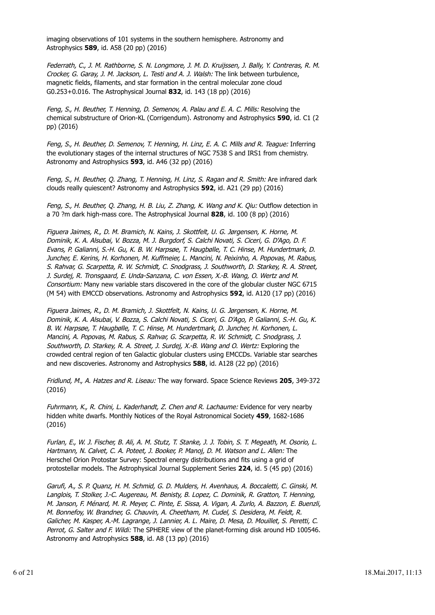imaging observations of 101 systems in the southern hemisphere. Astronomy and Astrophysics **589**, id. A58 (20 pp) (2016)

Federrath, C., J. M. Rathborne, S. N. Longmore, J. M. D. Kruijssen, J. Bally, Y. Contreras, R. M. Crocker, G. Garay, J. M. Jackson, L. Testi and A. J. Walsh: The link between turbulence, magnetic fields, filaments, and star formation in the central molecular zone cloud G0.253+0.016. The Astrophysical Journal **832**, id. 143 (18 pp) (2016)

Feng, S., H. Beuther, T. Henning, D. Semenov, A. Palau and E. A. C. Mills: Resolving the chemical substructure of Orion-KL (Corrigendum). Astronomy and Astrophysics **590**, id. C1 (2 pp) (2016)

Feng, S., H. Beuther, D. Semenov, T. Henning, H. Linz, E. A. C. Mills and R. Teague: Inferring the evolutionary stages of the internal structures of NGC 7538 S and IRS1 from chemistry. Astronomy and Astrophysics **593**, id. A46 (32 pp) (2016)

Feng, S., H. Beuther, Q. Zhang, T. Henning, H. Linz, S. Ragan and R. Smith: Are infrared dark clouds really quiescent? Astronomy and Astrophysics **592**, id. A21 (29 pp) (2016)

Feng, S., H. Beuther, Q. Zhang, H. B. Liu, Z. Zhang, K. Wang and K. Qiu: Outflow detection in a 70 ?m dark high-mass core. The Astrophysical Journal **828**, id. 100 (8 pp) (2016)

Figuera Jaimes, R., D. M. Bramich, N. Kains, J. Skottfelt, U. G. Jørgensen, K. Horne, M. Dominik, K. A. Alsubai, V. Bozza, M. J. Burgdorf, S. Calchi Novati, S. Ciceri, G. D'Ago, D. F. Evans, P. Galianni, S.-H. Gu, K. B. W. Harpsøe, T. Haugbølle, T. C. Hinse, M. Hundertmark, D. Juncher, E. Kerins, H. Korhonen, M. Kuffmeier, L. Mancini, N. Peixinho, A. Popovas, M. Rabus, S. Rahvar, G. Scarpetta, R. W. Schmidt, C. Snodgrass, J. Southworth, D. Starkey, R. A. Street, J. Surdej, R. Tronsgaard, E. Unda-Sanzana, C. von Essen, X.-B. Wang, O. Wertz and M. Consortium: Many new variable stars discovered in the core of the globular cluster NGC 6715 (M 54) with EMCCD observations. Astronomy and Astrophysics **592**, id. A120 (17 pp) (2016)

Figuera Jaimes, R., D. M. Bramich, J. Skottfelt, N. Kains, U. G. Jørgensen, K. Horne, M. Dominik, K. A. Alsubai, V. Bozza, S. Calchi Novati, S. Ciceri, G. D'Ago, P. Galianni, S.-H. Gu, K. B. W. Harpsøe, T. Haugbølle, T. C. Hinse, M. Hundertmark, D. Juncher, H. Korhonen, L. Mancini, A. Popovas, M. Rabus, S. Rahvar, G. Scarpetta, R. W. Schmidt, C. Snodgrass, J. Southworth, D. Starkey, R. A. Street, J. Surdej, X.-B. Wang and O. Wertz: Exploring the crowded central region of ten Galactic globular clusters using EMCCDs. Variable star searches and new discoveries. Astronomy and Astrophysics **588**, id. A128 (22 pp) (2016)

Fridlund, M., A. Hatzes and R. Liseau: The way forward. Space Science Reviews **205**, 349-372 (2016)

Fuhrmann, K., R. Chini, L. Kaderhandt, Z. Chen and R. Lachaume: Evidence for very nearby hidden white dwarfs. Monthly Notices of the Royal Astronomical Society **459**, 1682-1686 (2016)

Furlan, E., W. J. Fischer, B. Ali, A. M. Stutz, T. Stanke, J. J. Tobin, S. T. Megeath, M. Osorio, L. Hartmann, N. Calvet, C. A. Poteet, J. Booker, P. Manoj, D. M. Watson and L. Allen: The Herschel Orion Protostar Survey: Spectral energy distributions and fits using a grid of protostellar models. The Astrophysical Journal Supplement Series **224**, id. 5 (45 pp) (2016)

Garufi, A., S. P. Quanz, H. M. Schmid, G. D. Mulders, H. Avenhaus, A. Boccaletti, C. Ginski, M. Langlois, T. Stolker, J.-C. Augereau, M. Benisty, B. Lopez, C. Dominik, R. Gratton, T. Henning, M. Janson, F. Ménard, M. R. Meyer, C. Pinte, E. Sissa, A. Vigan, A. Zurlo, A. Bazzon, E. Buenzli, M. Bonnefoy, W. Brandner, G. Chauvin, A. Cheetham, M. Cudel, S. Desidera, M. Feldt, R. Galicher, M. Kasper, A.-M. Lagrange, J. Lannier, A. L. Maire, D. Mesa, D. Mouillet, S. Peretti, C. Perrot, G. Salter and F. Wildi: The SPHERE view of the planet-forming disk around HD 100546. Astronomy and Astrophysics **588**, id. A8 (13 pp) (2016)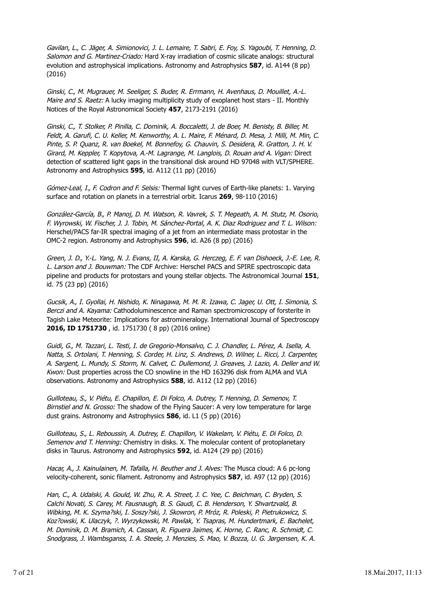Gavilan, L., C. Jäger, A. Simionovici, J. L. Lemaire, T. Sabri, E. Foy, S. Yagoubi, T. Henning, D. Salomon and G. Martinez-Criado: Hard X-ray irradiation of cosmic silicate analogs: structural evolution and astrophysical implications. Astronomy and Astrophysics **587**, id. A144 (8 pp) (2016)

Ginski, C., M. Mugrauer, M. Seeliger, S. Buder, R. Errmann, H. Avenhaus, D. Mouillet, A.-L. Maire and S. Raetz: A lucky imaging multiplicity study of exoplanet host stars - II. Monthly Notices of the Royal Astronomical Society **457**, 2173-2191 (2016)

Ginski, C., T. Stolker, P. Pinilla, C. Dominik, A. Boccaletti, J. de Boer, M. Benisty, B. Biller, M. Feldt, A. Garufi, C. U. Keller, M. Kenworthy, A. L. Maire, F. Ménard, D. Mesa, J. Milli, M. Min, C. Pinte, S. P. Quanz, R. van Boekel, M. Bonnefoy, G. Chauvin, S. Desidera, R. Gratton, J. H. V. Girard, M. Keppler, T. Kopytova, A.-M. Lagrange, M. Langlois, D. Rouan and A. Vigan: Direct detection of scattered light gaps in the transitional disk around HD 97048 with VLT/SPHERE. Astronomy and Astrophysics **595**, id. A112 (11 pp) (2016)

Gómez-Leal, I., F. Codron and F. Selsis: Thermal light curves of Earth-like planets: 1. Varying surface and rotation on planets in a terrestrial orbit. Icarus **269**, 98-110 (2016)

González-García, B., P. Manoj, D. M. Watson, R. Vavrek, S. T. Megeath, A. M. Stutz, M. Osorio, F. Wyrowski, W. Fischer, J. J. Tobin, M. Sánchez-Portal, A. K. Diaz Rodriguez and T. L. Wilson: Herschel/PACS far-IR spectral imaging of a jet from an intermediate mass protostar in the OMC-2 region. Astronomy and Astrophysics **596**, id. A26 (8 pp) (2016)

Green, J. D., Y.-L. Yang, N. J. Evans, II, A. Karska, G. Herczeg, E. F. van Dishoeck, J.-E. Lee, R. L. Larson and J. Bouwman: The CDF Archive: Herschel PACS and SPIRE spectroscopic data pipeline and products for protostars and young stellar objects. The Astronomical Journal **151**, id. 75 (23 pp) (2016)

Gucsik, A., I. Gyollai, H. Nishido, K. Ninagawa, M. M. R. Izawa, C. Jager, U. Ott, I. Simonia, S. Berczi and A. Kayama: Cathodoluminescence and Raman spectromicroscopy of forsterite in Tagish Lake Meteorite: Implications for astromineralogy. International Journal of Spectroscopy **2016, ID 1751730** , id. 1751730 ( 8 pp) (2016 online)

Guidi, G., M. Tazzari, L. Testi, I. de Gregorio-Monsalvo, C. J. Chandler, L. Pérez, A. Isella, A. Natta, S. Ortolani, T. Henning, S. Corder, H. Linz, S. Andrews, D. Wilner, L. Ricci, J. Carpenter, A. Sargent, L. Mundy, S. Storm, N. Calvet, C. Dullemond, J. Greaves, J. Lazio, A. Deller and W. Kwon: Dust properties across the CO snowline in the HD 163296 disk from ALMA and VLA observations. Astronomy and Astrophysics **588**, id. A112 (12 pp) (2016)

Guilloteau, S., V. Piétu, E. Chapillon, E. Di Folco, A. Dutrey, T. Henning, D. Semenov, T. Birnstiel and N. Grosso: The shadow of the Flying Saucer: A very low temperature for large dust grains. Astronomy and Astrophysics **586**, id. L1 (5 pp) (2016)

Guilloteau, S., L. Reboussin, A. Dutrey, E. Chapillon, V. Wakelam, V. Piétu, E. Di Folco, D. Semenov and T. Henning: Chemistry in disks. X. The molecular content of protoplanetary disks in Taurus. Astronomy and Astrophysics **592**, id. A124 (29 pp) (2016)

Hacar, A., J. Kainulainen, M. Tafalla, H. Beuther and J. Alves: The Musca cloud: A 6 pc-long velocity-coherent, sonic filament. Astronomy and Astrophysics **587**, id. A97 (12 pp) (2016)

Han, C., A. Udalski, A. Gould, W. Zhu, R. A. Street, J. C. Yee, C. Beichman, C. Bryden, S. Calchi Novati, S. Carey, M. Fausnaugh, B. S. Gaudi, C. B. Henderson, Y. Shvartzvald, B. Wibking, M. K. Szyma?ski, I. Soszy?ski, J. Skowron, P. Mróz, R. Poleski, P. Pietrukowicz, S. Koz?owski, K. Ulaczyk, ?. Wyrzykowski, M. Pawlak, Y. Tsapras, M. Hundertmark, E. Bachelet, M. Dominik, D. M. Bramich, A. Cassan, R. Figuera Jaimes, K. Horne, C. Ranc, R. Schmidt, C. Snodgrass, J. Wambsganss, I. A. Steele, J. Menzies, S. Mao, V. Bozza, U. G. Jørgensen, K. A.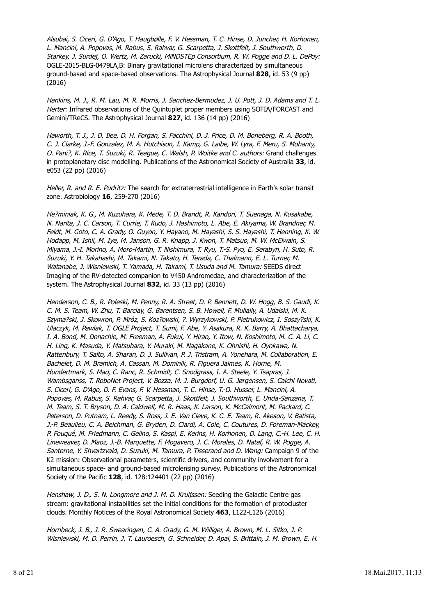Alsubai, S. Ciceri, G. D'Ago, T. Haugbølle, F. V. Hessman, T. C. Hinse, D. Juncher, H. Korhonen, L. Mancini, A. Popovas, M. Rabus, S. Rahvar, G. Scarpetta, J. Skottfelt, J. Southworth, D. Starkey, J. Surdej, O. Wertz, M. Zarucki, MiNDSTEp Consortium, R. W. Pogge and D. L. DePoy: OGLE-2015-BLG-0479LA,B: Binary gravitational microlens characterized by simultaneous ground-based and space-based observations. The Astrophysical Journal **828**, id. 53 (9 pp) (2016)

Hankins, M. J., R. M. Lau, M. R. Morris, J. Sanchez-Bermudez, J. U. Pott, J. D. Adams and T. L. Herter: Infrared observations of the Quintuplet proper members using SOFIA/FORCAST and Gemini/TReCS. The Astrophysical Journal **827**, id. 136 (14 pp) (2016)

Haworth, T. J., J. D. Ilee, D. H. Forgan, S. Facchini, D. J. Price, D. M. Boneberg, R. A. Booth, C. J. Clarke, J.-F. Gonzalez, M. A. Hutchison, I. Kamp, G. Laibe, W. Lyra, F. Meru, S. Mohanty, O. Pani?, K. Rice, T. Suzuki, R. Teague, C. Walsh, P. Woitke and C. authors: Grand challenges in protoplanetary disc modelling. Publications of the Astronomical Society of Australia **33**, id. e053 (22 pp) (2016)

Heller, R. and R. E. Pudritz: The search for extraterrestrial intelligence in Earth's solar transit zone. Astrobiology **16**, 259-270 (2016)

He?miniak, K. G., M. Kuzuhara, K. Mede, T. D. Brandt, R. Kandori, T. Suenaga, N. Kusakabe, N. Narita, J. C. Carson, T. Currie, T. Kudo, J. Hashimoto, L. Abe, E. Akiyama, W. Brandner, M. Feldt, M. Goto, C. A. Grady, O. Guyon, Y. Hayano, M. Hayashi, S. S. Hayashi, T. Henning, K. W. Hodapp, M. Ishii, M. Iye, M. Janson, G. R. Knapp, J. Kwon, T. Matsuo, M. W. McElwain, S. Miyama, J.-I. Morino, A. Moro-Martin, T. Nishimura, T. Ryu, T.-S. Pyo, E. Serabyn, H. Suto, R. Suzuki, Y. H. Takahashi, M. Takami, N. Takato, H. Terada, C. Thalmann, E. L. Turner, M. Watanabe, J. Wisniewski, T. Yamada, H. Takami, T. Usuda and M. Tamura: SEEDS direct Imaging of the RV-detected companion to V450 Andromedae, and characterization of the system. The Astrophysical Journal **832**, id. 33 (13 pp) (2016)

Henderson, C. B., R. Poleski, M. Penny, R. A. Street, D. P. Bennett, D. W. Hogg, B. S. Gaudi, K. C. M. S. Team, W. Zhu, T. Barclay, G. Barentsen, S. B. Howell, F. Mullally, A. Udalski, M. K. Szyma?ski, J. Skowron, P. Mróz, S. Koz?owski, ?. Wyrzykowski, P. Pietrukowicz, I. Soszy?ski, K. Ulaczyk, M. Pawlak, T. OGLE Project, T. Sumi, F. Abe, Y. Asakura, R. K. Barry, A. Bhattacharya, I. A. Bond, M. Donachie, M. Freeman, A. Fukui, Y. Hirao, Y. Itow, N. Koshimoto, M. C. A. Li, C. H. Ling, K. Masuda, Y. Matsubara, Y. Muraki, M. Nagakane, K. Ohnishi, H. Oyokawa, N. Rattenbury, T. Saito, A. Sharan, D. J. Sullivan, P. J. Tristram, A. Yonehara, M. Collaboration, E. Bachelet, D. M. Bramich, A. Cassan, M. Dominik, R. Figuera Jaimes, K. Horne, M. Hundertmark, S. Mao, C. Ranc, R. Schmidt, C. Snodgrass, I. A. Steele, Y. Tsapras, J. Wambsganss, T. RoboNet Project, V. Bozza, M. J. Burgdorf, U. G. Jørgensen, S. Calchi Novati, S. Ciceri, G. D'Ago, D. F. Evans, F. V. Hessman, T. C. Hinse, T.-O. Husser, L. Mancini, A. Popovas, M. Rabus, S. Rahvar, G. Scarpetta, J. Skottfelt, J. Southworth, E. Unda-Sanzana, T. M. Team, S. T. Bryson, D. A. Caldwell, M. R. Haas, K. Larson, K. McCalmont, M. Packard, C. Peterson, D. Putnam, L. Reedy, S. Ross, J. E. Van Cleve, K. C. E. Team, R. Akeson, V. Batista, J.-P. Beaulieu, C. A. Beichman, G. Bryden, D. Ciardi, A. Cole, C. Coutures, D. Foreman-Mackey, P. Fouqué, M. Friedmann, C. Gelino, S. Kaspi, E. Kerins, H. Korhonen, D. Lang, C.-H. Lee, C. H. Lineweaver, D. Maoz, J.-B. Marquette, F. Mogavero, J. C. Morales, D. Nataf, R. W. Pogge, A. Santerne, Y. Shvartzvald, D. Suzuki, M. Tamura, P. Tisserand and D. Wang: Campaign 9 of the K2 mission: Observational parameters, scientific drivers, and community involvement for a simultaneous space- and ground-based microlensing survey. Publications of the Astronomical Society of the Pacific **128**, id. 128:124401 (22 pp) (2016)

Henshaw, J. D., S. N. Longmore and J. M. D. Kruijssen: Seeding the Galactic Centre gas stream: gravitational instabilities set the initial conditions for the formation of protocluster clouds. Monthly Notices of the Royal Astronomical Society **463**, L122-L126 (2016)

Hornbeck, J. B., J. R. Swearingen, C. A. Grady, G. M. Williger, A. Brown, M. L. Sitko, J. P. Wisniewski, M. D. Perrin, J. T. Lauroesch, G. Schneider, D. Apai, S. Brittain, J. M. Brown, E. H.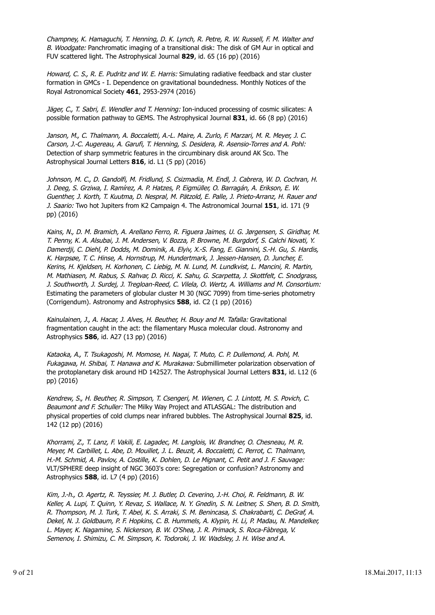Champney, K. Hamaguchi, T. Henning, D. K. Lynch, R. Petre, R. W. Russell, F. M. Walter and B. Woodgate: Panchromatic imaging of a transitional disk: The disk of GM Aur in optical and FUV scattered light. The Astrophysical Journal **829**, id. 65 (16 pp) (2016)

Howard, C. S., R. E. Pudritz and W. E. Harris: Simulating radiative feedback and star cluster formation in GMCs - I. Dependence on gravitational boundedness. Monthly Notices of the Royal Astronomical Society **461**, 2953-2974 (2016)

Jäger, C., T. Sabri, E. Wendler and T. Henning: Ion-induced processing of cosmic silicates: A possible formation pathway to GEMS. The Astrophysical Journal **831**, id. 66 (8 pp) (2016)

Janson, M., C. Thalmann, A. Boccaletti, A.-L. Maire, A. Zurlo, F. Marzari, M. R. Meyer, J. C. Carson, J.-C. Augereau, A. Garufi, T. Henning, S. Desidera, R. Asensio-Torres and A. Pohl: Detection of sharp symmetric features in the circumbinary disk around AK Sco. The Astrophysical Journal Letters **816**, id. L1 (5 pp) (2016)

Johnson, M. C., D. Gandolfi, M. Fridlund, S. Csizmadia, M. Endl, J. Cabrera, W. D. Cochran, H. J. Deeg, S. Grziwa, I. Ramírez, A. P. Hatzes, P. Eigmüller, O. Barragán, A. Erikson, E. W. Guenther, J. Korth, T. Kuutma, D. Nespral, M. Pätzold, E. Palle, J. Prieto-Arranz, H. Rauer and J. Saario: Two hot Jupiters from K2 Campaign 4. The Astronomical Journal **151**, id. 171 (9 pp) (2016)

Kains, N., D. M. Bramich, A. Arellano Ferro, R. Figuera Jaimes, U. G. Jørgensen, S. Giridhar, M. T. Penny, K. A. Alsubai, J. M. Andersen, V. Bozza, P. Browne, M. Burgdorf, S. Calchi Novati, Y. Damerdji, C. Diehl, P. Dodds, M. Dominik, A. Elyiv, X.-S. Fang, E. Giannini, S.-H. Gu, S. Hardis, K. Harpsøe, T. C. Hinse, A. Hornstrup, M. Hundertmark, J. Jessen-Hansen, D. Juncher, E. Kerins, H. Kjeldsen, H. Korhonen, C. Liebig, M. N. Lund, M. Lundkvist, L. Mancini, R. Martin, M. Mathiasen, M. Rabus, S. Rahvar, D. Ricci, K. Sahu, G. Scarpetta, J. Skottfelt, C. Snodgrass, J. Southworth, J. Surdej, J. Tregloan-Reed, C. Vilela, O. Wertz, A. Williams and M. Consortium: Estimating the parameters of globular cluster M 30 (NGC 7099) from time-series photometry (Corrigendum). Astronomy and Astrophysics **588**, id. C2 (1 pp) (2016)

Kainulainen, J., A. Hacar, J. Alves, H. Beuther, H. Bouy and M. Tafalla: Gravitational fragmentation caught in the act: the filamentary Musca molecular cloud. Astronomy and Astrophysics **586**, id. A27 (13 pp) (2016)

Kataoka, A., T. Tsukagoshi, M. Momose, H. Nagai, T. Muto, C. P. Dullemond, A. Pohl, M. Fukagawa, H. Shibai, T. Hanawa and K. Murakawa: Submillimeter polarization observation of the protoplanetary disk around HD 142527. The Astrophysical Journal Letters **831**, id. L12 (6 pp) (2016)

Kendrew, S., H. Beuther, R. Simpson, T. Csengeri, M. Wienen, C. J. Lintott, M. S. Povich, C. Beaumont and F. Schuller: The Milky Way Project and ATLASGAL: The distribution and physical properties of cold clumps near infrared bubbles. The Astrophysical Journal **825**, id. 142 (12 pp) (2016)

Khorrami, Z., T. Lanz, F. Vakili, E. Lagadec, M. Langlois, W. Brandner, O. Chesneau, M. R. Meyer, M. Carbillet, L. Abe, D. Mouillet, J. L. Beuzit, A. Boccaletti, C. Perrot, C. Thalmann, H.-M. Schmid, A. Pavlov, A. Costille, K. Dohlen, D. Le Mignant, C. Petit and J. F. Sauvage: VLT/SPHERE deep insight of NGC 3603's core: Segregation or confusion? Astronomy and Astrophysics **588**, id. L7 (4 pp) (2016)

Kim, J.-h., O. Agertz, R. Teyssier, M. J. Butler, D. Ceverino, J.-H. Choi, R. Feldmann, B. W. Keller, A. Lupi, T. Quinn, Y. Revaz, S. Wallace, N. Y. Gnedin, S. N. Leitner, S. Shen, B. D. Smith, R. Thompson, M. J. Turk, T. Abel, K. S. Arraki, S. M. Benincasa, S. Chakrabarti, C. DeGraf, A. Dekel, N. J. Goldbaum, P. F. Hopkins, C. B. Hummels, A. Klypin, H. Li, P. Madau, N. Mandelker, L. Mayer, K. Nagamine, S. Nickerson, B. W. O'Shea, J. R. Primack, S. Roca-Fàbrega, V. Semenov, I. Shimizu, C. M. Simpson, K. Todoroki, J. W. Wadsley, J. H. Wise and A.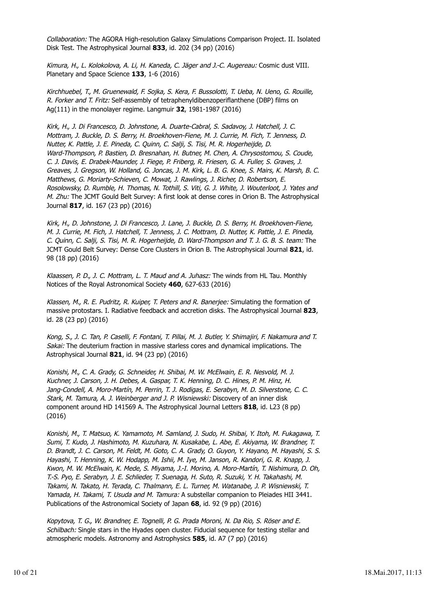Collaboration: The AGORA High-resolution Galaxy Simulations Comparison Project. II. Isolated Disk Test. The Astrophysical Journal **833**, id. 202 (34 pp) (2016)

Kimura, H., L. Kolokolova, A. Li, H. Kaneda, C. Jäger and J.-C. Augereau: Cosmic dust VIII. Planetary and Space Science **133**, 1-6 (2016)

Kirchhuebel, T., M. Gruenewald, F. Sojka, S. Kera, F. Bussolotti, T. Ueba, N. Ueno, G. Rouille, R. Forker and T. Fritz: Self-assembly of tetraphenyldibenzoperiflanthene (DBP) films on Ag(111) in the monolayer regime. Langmuir **32**, 1981-1987 (2016)

Kirk, H., J. Di Francesco, D. Johnstone, A. Duarte-Cabral, S. Sadavoy, J. Hatchell, J. C. Mottram, J. Buckle, D. S. Berry, H. Broekhoven-Fiene, M. J. Currie, M. Fich, T. Jenness, D. Nutter, K. Pattle, J. E. Pineda, C. Quinn, C. Salji, S. Tisi, M. R. Hogerheijde, D. Ward-Thompson, P. Bastien, D. Bresnahan, H. Butner, M. Chen, A. Chrysostomou, S. Coude, C. J. Davis, E. Drabek-Maunder, J. Fiege, P. Friberg, R. Friesen, G. A. Fuller, S. Graves, J. Greaves, J. Gregson, W. Holland, G. Joncas, J. M. Kirk, L. B. G. Knee, S. Mairs, K. Marsh, B. C. Matthews, G. Moriarty-Schieven, C. Mowat, J. Rawlings, J. Richer, D. Robertson, E. Rosolowsky, D. Rumble, H. Thomas, N. Tothill, S. Viti, G. J. White, J. Wouterloot, J. Yates and M. Zhu: The JCMT Gould Belt Survey: A first look at dense cores in Orion B. The Astrophysical Journal **817**, id. 167 (23 pp) (2016)

Kirk, H., D. Johnstone, J. Di Francesco, J. Lane, J. Buckle, D. S. Berry, H. Broekhoven-Fiene, M. J. Currie, M. Fich, J. Hatchell, T. Jenness, J. C. Mottram, D. Nutter, K. Pattle, J. E. Pineda, C. Quinn, C. Salji, S. Tisi, M. R. Hogerheijde, D. Ward-Thompson and T. J. G. B. S. team: The JCMT Gould Belt Survey: Dense Core Clusters in Orion B. The Astrophysical Journal **821**, id. 98 (18 pp) (2016)

Klaassen, P. D., J. C. Mottram, L. T. Maud and A. Juhasz: The winds from HL Tau. Monthly Notices of the Royal Astronomical Society **460**, 627-633 (2016)

Klassen, M., R. E. Pudritz, R. Kuiper, T. Peters and R. Banerjee: Simulating the formation of massive protostars. I. Radiative feedback and accretion disks. The Astrophysical Journal **823**, id. 28 (23 pp) (2016)

Kong, S., J. C. Tan, P. Caselli, F. Fontani, T. Pillai, M. J. Butler, Y. Shimajiri, F. Nakamura and T. Sakai: The deuterium fraction in massive starless cores and dynamical implications. The Astrophysical Journal **821**, id. 94 (23 pp) (2016)

Konishi, M., C. A. Grady, G. Schneider, H. Shibai, M. W. McElwain, E. R. Nesvold, M. J. Kuchner, J. Carson, J. H. Debes, A. Gaspar, T. K. Henning, D. C. Hines, P. M. Hinz, H. Jang-Condell, A. Moro-Martín, M. Perrin, T. J. Rodigas, E. Serabyn, M. D. Silverstone, C. C. Stark, M. Tamura, A. J. Weinberger and J. P. Wisniewski: Discovery of an inner disk component around HD 141569 A. The Astrophysical Journal Letters **818**, id. L23 (8 pp) (2016)

Konishi, M., T. Matsuo, K. Yamamoto, M. Samland, J. Sudo, H. Shibai, Y. Itoh, M. Fukagawa, T. Sumi, T. Kudo, J. Hashimoto, M. Kuzuhara, N. Kusakabe, L. Abe, E. Akiyama, W. Brandner, T. D. Brandt, J. C. Carson, M. Feldt, M. Goto, C. A. Grady, O. Guyon, Y. Hayano, M. Hayashi, S. S. Hayashi, T. Henning, K. W. Hodapp, M. Ishii, M. Iye, M. Janson, R. Kandori, G. R. Knapp, J. Kwon, M. W. McElwain, K. Mede, S. Miyama, J.-I. Morino, A. Moro-Martín, T. Nishimura, D. Oh, T.-S. Pyo, E. Serabyn, J. E. Schlieder, T. Suenaga, H. Suto, R. Suzuki, Y. H. Takahashi, M. Takami, N. Takato, H. Terada, C. Thalmann, E. L. Turner, M. Watanabe, J. P. Wisniewski, T. Yamada, H. Takami, T. Usuda and M. Tamura: A substellar companion to Pleiades HII 3441. Publications of the Astronomical Society of Japan **68**, id. 92 (9 pp) (2016)

Kopytova, T. G., W. Brandner, E. Tognelli, P. G. Prada Moroni, N. Da Rio, S. Röser and E. Schilbach: Single stars in the Hyades open cluster. Fiducial sequence for testing stellar and atmospheric models. Astronomy and Astrophysics **585**, id. A7 (7 pp) (2016)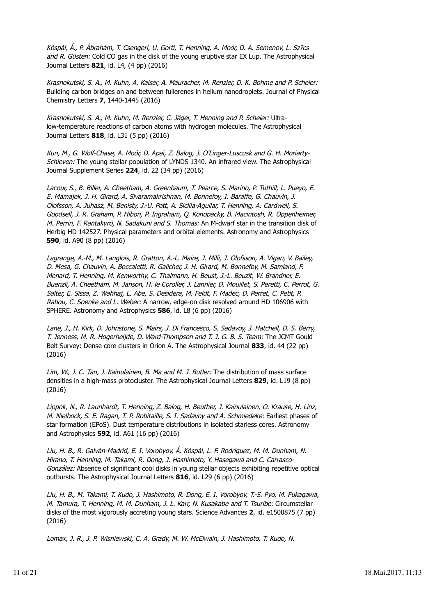Kóspál, Á., P. Ábrahám, T. Csengeri, U. Gorti, T. Henning, A. Moór, D. A. Semenov, L. Sz?cs and R. Güsten: Cold CO gas in the disk of the young eruptive star EX Lup. The Astrophysical Journal Letters **821**, id. L4, (4 pp) (2016)

Krasnokutski, S. A., M. Kuhn, A. Kaiser, A. Mauracher, M. Renzler, D. K. Bohme and P. Scheier: Building carbon bridges on and between fullerenes in helium nanodroplets. Journal of Physical Chemistry Letters **7**, 1440-1445 (2016)

Krasnokutski, S. A., M. Kuhn, M. Renzler, C. Jäger, T. Henning and P. Scheier: Ultralow-temperature reactions of carbon atoms with hydrogen molecules. The Astrophysical Journal Letters **818**, id. L31 (5 pp) (2016)

Kun, M., G. Wolf-Chase, A. Moór, D. Apai, Z. Balog, J. O'Linger-Luscusk and G. H. Moriarty-Schieven: The young stellar population of LYNDS 1340. An infrared view. The Astrophysical Journal Supplement Series **224**, id. 22 (34 pp) (2016)

Lacour, S., B. Biller, A. Cheetham, A. Greenbaum, T. Pearce, S. Marino, P. Tuthill, L. Pueyo, E. E. Mamajek, J. H. Girard, A. Sivaramakrishnan, M. Bonnefoy, I. Baraffe, G. Chauvin, J. Olofsson, A. Juhasz, M. Benisty, J.-U. Pott, A. Sicilia-Aguilar, T. Henning, A. Cardwell, S. Goodsell, J. R. Graham, P. Hibon, P. Ingraham, Q. Konopacky, B. Macintosh, R. Oppenheimer, M. Perrin, F. Rantakyrö, N. Sadakuni and S. Thomas: An M-dwarf star in the transition disk of Herbig HD 142527. Physical parameters and orbital elements. Astronomy and Astrophysics **590**, id. A90 (8 pp) (2016)

Lagrange, A.-M., M. Langlois, R. Gratton, A.-L. Maire, J. Milli, J. Olofsson, A. Vigan, V. Bailey, D. Mesa, G. Chauvin, A. Boccaletti, R. Galicher, J. H. Girard, M. Bonnefoy, M. Samland, F. Menard, T. Henning, M. Kenworthy, C. Thalmann, H. Beust, J.-L. Beuzit, W. Brandner, E. Buenzli, A. Cheetham, M. Janson, H. le Coroller, J. Lannier, D. Mouillet, S. Peretti, C. Perrot, G. Salter, E. Sissa, Z. Wahhaj, L. Abe, S. Desidera, M. Feldt, F. Madec, D. Perret, C. Petit, P. Rabou, C. Soenke and L. Weber: A narrow, edge-on disk resolved around HD 106906 with SPHERE. Astronomy and Astrophysics **586**, id. L8 (6 pp) (2016)

Lane, J., H. Kirk, D. Johnstone, S. Mairs, J. Di Francesco, S. Sadavoy, J. Hatchell, D. S. Berry, T. Jenness, M. R. Hogerheijde, D. Ward-Thompson and T. J. G. B. S. Team: The JCMT Gould Belt Survey: Dense core clusters in Orion A. The Astrophysical Journal **833**, id. 44 (22 pp) (2016)

Lim, W., J. C. Tan, J. Kainulainen, B. Ma and M. J. Butler: The distribution of mass surface densities in a high-mass protocluster. The Astrophysical Journal Letters **829**, id. L19 (8 pp) (2016)

Lippok, N., R. Launhardt, T. Henning, Z. Balog, H. Beuther, J. Kainulainen, O. Krause, H. Linz, M. Nielbock, S. E. Ragan, T. P. Robitaille, S. I. Sadavoy and A. Schmiedeke: Earliest phases of star formation (EPoS). Dust temperature distributions in isolated starless cores. Astronomy and Astrophysics **592**, id. A61 (16 pp) (2016)

Liu, H. B., R. Galván-Madrid, E. I. Vorobyov, Á. Kóspál, L. F. Rodríguez, M. M. Dunham, N. Hirano, T. Henning, M. Takami, R. Dong, J. Hashimoto, Y. Hasegawa and C. Carrasco-González: Absence of significant cool disks in young stellar objects exhibiting repetitive optical outbursts. The Astrophysical Journal Letters **816**, id. L29 (6 pp) (2016)

Liu, H. B., M. Takami, T. Kudo, J. Hashimoto, R. Dong, E. I. Vorobyov, T.-S. Pyo, M. Fukagawa, M. Tamura, T. Henning, M. M. Dunham, J. L. Karr, N. Kusakabe and T. Tsuribe: Circumstellar disks of the most vigorously accreting young stars. Science Advances **2**, id. e1500875 (7 pp) (2016)

Lomax, J. R., J. P. Wisniewski, C. A. Grady, M. W. McElwain, J. Hashimoto, T. Kudo, N.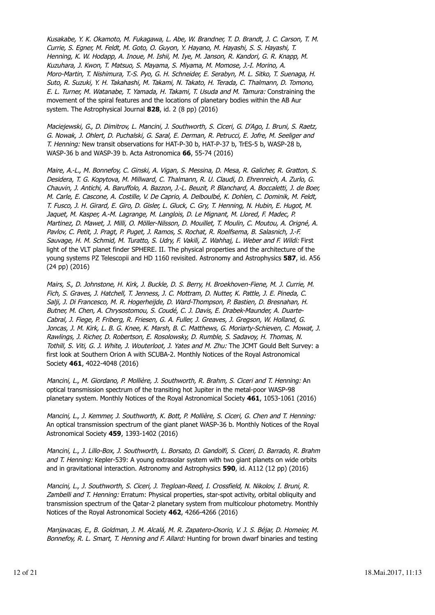Kusakabe, Y. K. Okamoto, M. Fukagawa, L. Abe, W. Brandner, T. D. Brandt, J. C. Carson, T. M. Currie, S. Egner, M. Feldt, M. Goto, O. Guyon, Y. Hayano, M. Hayashi, S. S. Hayashi, T. Henning, K. W. Hodapp, A. Inoue, M. Ishii, M. Iye, M. Janson, R. Kandori, G. R. Knapp, M. Kuzuhara, J. Kwon, T. Matsuo, S. Mayama, S. Miyama, M. Momose, J.-I. Morino, A. Moro-Martin, T. Nishimura, T.-S. Pyo, G. H. Schneider, E. Serabyn, M. L. Sitko, T. Suenaga, H. Suto, R. Suzuki, Y. H. Takahashi, M. Takami, N. Takato, H. Terada, C. Thalmann, D. Tomono, E. L. Turner, M. Watanabe, T. Yamada, H. Takami, T. Usuda and M. Tamura: Constraining the movement of the spiral features and the locations of planetary bodies within the AB Aur system. The Astrophysical Journal **828**, id. 2 (8 pp) (2016)

Maciejewski, G., D. Dimitrov, L. Mancini, J. Southworth, S. Ciceri, G. D'Ago, I. Bruni, S. Raetz, G. Nowak, J. Ohlert, D. Puchalski, G. Saral, E. Derman, R. Petrucci, E. Jofre, M. Seeliger and T. Henning: New transit observations for HAT-P-30 b, HAT-P-37 b, TrES-5 b, WASP-28 b, WASP-36 b and WASP-39 b. Acta Astronomica **66**, 55-74 (2016)

Maire, A.-L., M. Bonnefoy, C. Ginski, A. Vigan, S. Messina, D. Mesa, R. Galicher, R. Gratton, S. Desidera, T. G. Kopytova, M. Millward, C. Thalmann, R. U. Claudi, D. Ehrenreich, A. Zurlo, G. Chauvin, J. Antichi, A. Baruffolo, A. Bazzon, J.-L. Beuzit, P. Blanchard, A. Boccaletti, J. de Boer, M. Carle, E. Cascone, A. Costille, V. De Caprio, A. Delboulbé, K. Dohlen, C. Dominik, M. Feldt, T. Fusco, J. H. Girard, E. Giro, D. Gisler, L. Gluck, C. Gry, T. Henning, N. Hubin, E. Hugot, M. Jaquet, M. Kasper, A.-M. Lagrange, M. Langlois, D. Le Mignant, M. Llored, F. Madec, P. Martinez, D. Mawet, J. Milli, O. Möller-Nilsson, D. Mouillet, T. Moulin, C. Moutou, A. Origné, A. Pavlov, C. Petit, J. Pragt, P. Puget, J. Ramos, S. Rochat, R. Roelfsema, B. Salasnich, J.-F. Sauvage, H. M. Schmid, M. Turatto, S. Udry, F. Vakili, Z. Wahhaj, L. Weber and F. Wildi: First light of the VLT planet finder SPHERE. II. The physical properties and the architecture of the young systems PZ Telescopii and HD 1160 revisited. Astronomy and Astrophysics **587**, id. A56 (24 pp) (2016)

Mairs, S., D. Johnstone, H. Kirk, J. Buckle, D. S. Berry, H. Broekhoven-Fiene, M. J. Currie, M. Fich, S. Graves, J. Hatchell, T. Jenness, J. C. Mottram, D. Nutter, K. Pattle, J. E. Pineda, C. Salji, J. Di Francesco, M. R. Hogerheijde, D. Ward-Thompson, P. Bastien, D. Bresnahan, H. Butner, M. Chen, A. Chrysostomou, S. Coudé, C. J. Davis, E. Drabek-Maunder, A. Duarte-Cabral, J. Fiege, P. Friberg, R. Friesen, G. A. Fuller, J. Greaves, J. Gregson, W. Holland, G. Joncas, J. M. Kirk, L. B. G. Knee, K. Marsh, B. C. Matthews, G. Moriarty-Schieven, C. Mowat, J. Rawlings, J. Richer, D. Robertson, E. Rosolowsky, D. Rumble, S. Sadavoy, H. Thomas, N. Tothill, S. Viti, G. J. White, J. Wouterloot, J. Yates and M. Zhu: The JCMT Gould Belt Survey: a first look at Southern Orion A with SCUBA-2. Monthly Notices of the Royal Astronomical Society **461**, 4022-4048 (2016)

Mancini, L., M. Giordano, P. Mollière, J. Southworth, R. Brahm, S. Ciceri and T. Henning: An optical transmission spectrum of the transiting hot Jupiter in the metal-poor WASP-98 planetary system. Monthly Notices of the Royal Astronomical Society **461**, 1053-1061 (2016)

Mancini, L., J. Kemmer, J. Southworth, K. Bott, P. Mollière, S. Ciceri, G. Chen and T. Henning: An optical transmission spectrum of the giant planet WASP-36 b. Monthly Notices of the Royal Astronomical Society **459**, 1393-1402 (2016)

Mancini, L., J. Lillo-Box, J. Southworth, L. Borsato, D. Gandolfi, S. Ciceri, D. Barrado, R. Brahm and T. Henning: Kepler-539: A young extrasolar system with two giant planets on wide orbits and in gravitational interaction. Astronomy and Astrophysics **590**, id. A112 (12 pp) (2016)

Mancini, L., J. Southworth, S. Ciceri, J. Tregloan-Reed, I. Crossfield, N. Nikolov, I. Bruni, R. Zambelli and T. Henning: Erratum: Physical properties, star-spot activity, orbital obliquity and transmission spectrum of the Qatar-2 planetary system from multicolour photometry. Monthly Notices of the Royal Astronomical Society **462**, 4266-4266 (2016)

Manjavacas, E., B. Goldman, J. M. Alcalá, M. R. Zapatero-Osorio, V. J. S. Béjar, D. Homeier, M. Bonnefoy, R. L. Smart, T. Henning and F. Allard: Hunting for brown dwarf binaries and testing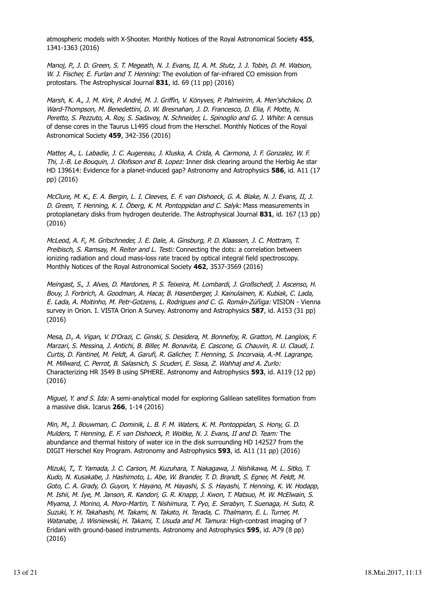atmospheric models with X-Shooter. Monthly Notices of the Royal Astronomical Society **455**, 1341-1363 (2016)

Manoj, P., J. D. Green, S. T. Megeath, N. J. Evans, II, A. M. Stutz, J. J. Tobin, D. M. Watson, W. J. Fischer, E. Furlan and T. Henning: The evolution of far-infrared CO emission from protostars. The Astrophysical Journal **831**, id. 69 (11 pp) (2016)

Marsh, K. A., J. M. Kirk, P. André, M. J. Griffin, V. Könyves, P. Palmeirim, A. Men'shchikov, D. Ward-Thompson, M. Benedettini, D. W. Bresnahan, J. D. Francesco, D. Elia, F. Motte, N. Peretto, S. Pezzuto, A. Roy, S. Sadavoy, N. Schneider, L. Spinoglio and G. J. White: A census of dense cores in the Taurus L1495 cloud from the Herschel. Monthly Notices of the Royal Astronomical Society **459**, 342-356 (2016)

Matter, A., L. Labadie, J. C. Augereau, J. Kluska, A. Crida, A. Carmona, J. F. Gonzalez, W. F. Thi, J.-B. Le Bouquin, J. Olofsson and B. Lopez: Inner disk clearing around the Herbig Ae star HD 139614: Evidence for a planet-induced gap? Astronomy and Astrophysics **586**, id. A11 (17 pp) (2016)

McClure, M. K., E. A. Bergin, L. I. Cleeves, E. F. van Dishoeck, G. A. Blake, N. J. Evans, II, J. D. Green, T. Henning, K. I. Öberg, K. M. Pontoppidan and C. Salyk: Mass measurements in protoplanetary disks from hydrogen deuteride. The Astrophysical Journal **831**, id. 167 (13 pp) (2016)

McLeod, A. F., M. Gritschneder, J. E. Dale, A. Ginsburg, P. D. Klaassen, J. C. Mottram, T. Preibisch, S. Ramsay, M. Reiter and L. Testi: Connecting the dots: a correlation between ionizing radiation and cloud mass-loss rate traced by optical integral field spectroscopy. Monthly Notices of the Royal Astronomical Society **462**, 3537-3569 (2016)

Meingast, S., J. Alves, D. Mardones, P. S. Teixeira, M. Lombardi, J. Großschedl, J. Ascenso, H. Bouy, J. Forbrich, A. Goodman, A. Hacar, B. Hasenberger, J. Kainulainen, K. Kubiak, C. Lada, E. Lada, A. Moitinho, M. Petr-Gotzens, L. Rodrigues and C. G. Román-Zúñiga: VISION - Vienna survey in Orion. I. VISTA Orion A Survey. Astronomy and Astrophysics **587**, id. A153 (31 pp) (2016)

Mesa, D., A. Vigan, V. D'Orazi, C. Ginski, S. Desidera, M. Bonnefoy, R. Gratton, M. Langlois, F. Marzari, S. Messina, J. Antichi, B. Biller, M. Bonavita, E. Cascone, G. Chauvin, R. U. Claudi, I. Curtis, D. Fantinel, M. Feldt, A. Garufi, R. Galicher, T. Henning, S. Incorvaia, A.-M. Lagrange, M. Millward, C. Perrot, B. Salasnich, S. Scuderi, E. Sissa, Z. Wahhaj and A. Zurlo: Characterizing HR 3549 B using SPHERE. Astronomy and Astrophysics **593**, id. A119 (12 pp) (2016)

Miguel, Y. and S. Ida: A semi-analytical model for exploring Galilean satellites formation from a massive disk. Icarus **266**, 1-14 (2016)

Min, M., J. Bouwman, C. Dominik, L. B. F. M. Waters, K. M. Pontoppidan, S. Hony, G. D. Mulders, T. Henning, E. F. van Dishoeck, P. Woitke, N. J. Evans, II and D. Team: The abundance and thermal history of water ice in the disk surrounding HD 142527 from the DIGIT Herschel Key Program. Astronomy and Astrophysics **593**, id. A11 (11 pp) (2016)

Mizuki, T., T. Yamada, J. C. Carson, M. Kuzuhara, T. Nakagawa, J. Nishikawa, M. L. Sitko, T. Kudo, N. Kusakabe, J. Hashimoto, L. Abe, W. Brander, T. D. Brandt, S. Egner, M. Feldt, M. Goto, C. A. Grady, O. Guyon, Y. Hayano, M. Hayashi, S. S. Hayashi, T. Henning, K. W. Hodapp, M. Ishii, M. Iye, M. Janson, R. Kandori, G. R. Knapp, J. Kwon, T. Matsuo, M. W. McElwain, S. Miyama, J. Morino, A. Moro-Martin, T. Nishimura, T. Pyo, E. Serabyn, T. Suenaga, H. Suto, R. Suzuki, Y. H. Takahashi, M. Takami, N. Takato, H. Terada, C. Thalmann, E. L. Turner, M. Watanabe, J. Wisniewski, H. Takami, T. Usuda and M. Tamura: High-contrast imaging of ? Eridani with ground-based instruments. Astronomy and Astrophysics **595**, id. A79 (8 pp) (2016)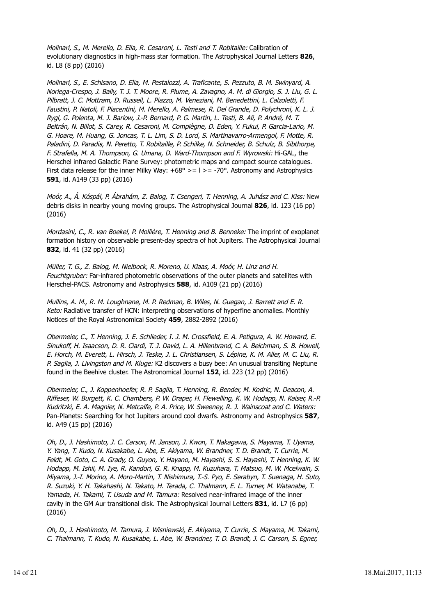Molinari, S., M. Merello, D. Elia, R. Cesaroni, L. Testi and T. Robitaille: Calibration of evolutionary diagnostics in high-mass star formation. The Astrophysical Journal Letters **826**, id. L8 (8 pp) (2016)

Molinari, S., E. Schisano, D. Elia, M. Pestalozzi, A. Traficante, S. Pezzuto, B. M. Swinyard, A. Noriega-Crespo, J. Bally, T. J. T. Moore, R. Plume, A. Zavagno, A. M. di Giorgio, S. J. Liu, G. L. Pilbratt, J. C. Mottram, D. Russeil, L. Piazzo, M. Veneziani, M. Benedettini, L. Calzoletti, F. Faustini, P. Natoli, F. Piacentini, M. Merello, A. Palmese, R. Del Grande, D. Polychroni, K. L. J. Rygl, G. Polenta, M. J. Barlow, J.-P. Bernard, P. G. Martin, L. Testi, B. Ali, P. André, M. T. Beltrán, N. Billot, S. Carey, R. Cesaroni, M. Compiègne, D. Eden, Y. Fukui, P. Garcia-Lario, M. G. Hoare, M. Huang, G. Joncas, T. L. Lim, S. D. Lord, S. Martinavarro-Armengol, F. Motte, R. Paladini, D. Paradis, N. Peretto, T. Robitaille, P. Schilke, N. Schneider, B. Schulz, B. Sibthorpe, F. Strafella, M. A. Thompson, G. Umana, D. Ward-Thompson and F. Wyrowski: Hi-GAL, the Herschel infrared Galactic Plane Survey: photometric maps and compact source catalogues. First data release for the inner Milky Way:  $+68^{\circ}$  > = 1 > = -70°. Astronomy and Astrophysics **591**, id. A149 (33 pp) (2016)

Moór, A., Á. Kóspál, P. Ábrahám, Z. Balog, T. Csengeri, T. Henning, A. Juhász and C. Kiss: New debris disks in nearby young moving groups. The Astrophysical Journal **826**, id. 123 (16 pp) (2016)

Mordasini, C., R. van Boekel, P. Mollière, T. Henning and B. Benneke: The imprint of exoplanet formation history on observable present-day spectra of hot Jupiters. The Astrophysical Journal **832**, id. 41 (32 pp) (2016)

Müller, T. G., Z. Balog, M. Nielbock, R. Moreno, U. Klaas, A. Moór, H. Linz and H. Feuchtgruber: Far-infrared photometric observations of the outer planets and satellites with Herschel-PACS. Astronomy and Astrophysics **588**, id. A109 (21 pp) (2016)

Mullins, A. M., R. M. Loughnane, M. P. Redman, B. Wiles, N. Guegan, J. Barrett and E. R. Keto: Radiative transfer of HCN: interpreting observations of hyperfine anomalies. Monthly Notices of the Royal Astronomical Society **459**, 2882-2892 (2016)

Obermeier, C., T. Henning, J. E. Schlieder, I. J. M. Crossfield, E. A. Petigura, A. W. Howard, E. Sinukoff, H. Isaacson, D. R. Ciardi, T. J. David, L. A. Hillenbrand, C. A. Beichman, S. B. Howell, E. Horch, M. Everett, L. Hirsch, J. Teske, J. L. Christiansen, S. Lépine, K. M. Aller, M. C. Liu, R. P. Saglia, J. Livingston and M. Kluge: K2 discovers a busy bee: An unusual transiting Neptune found in the Beehive cluster. The Astronomical Journal **152**, id. 223 (12 pp) (2016)

Obermeier, C., J. Koppenhoefer, R. P. Saglia, T. Henning, R. Bender, M. Kodric, N. Deacon, A. Riffeser, W. Burgett, K. C. Chambers, P. W. Draper, H. Flewelling, K. W. Hodapp, N. Kaiser, R.-P. Kudritzki, E. A. Magnier, N. Metcalfe, P. A. Price, W. Sweeney, R. J. Wainscoat and C. Waters: Pan-Planets: Searching for hot Jupiters around cool dwarfs. Astronomy and Astrophysics **587**, id. A49 (15 pp) (2016)

Oh, D., J. Hashimoto, J. C. Carson, M. Janson, J. Kwon, T. Nakagawa, S. Mayama, T. Uyama, Y. Yang, T. Kudo, N. Kusakabe, L. Abe, E. Akiyama, W. Brandner, T. D. Brandt, T. Currie, M. Feldt, M. Goto, C. A. Grady, O. Guyon, Y. Hayano, M. Hayashi, S. S. Hayashi, T. Henning, K. W. Hodapp, M. Ishii, M. Iye, R. Kandori, G. R. Knapp, M. Kuzuhara, T. Matsuo, M. W. Mcelwain, S. Miyama, J.-I. Morino, A. Moro-Martin, T. Nishimura, T.-S. Pyo, E. Serabyn, T. Suenaga, H. Suto, R. Suzuki, Y. H. Takahashi, N. Takato, H. Terada, C. Thalmann, E. L. Turner, M. Watanabe, T. Yamada, H. Takami, T. Usuda and M. Tamura: Resolved near-infrared image of the inner cavity in the GM Aur transitional disk. The Astrophysical Journal Letters **831**, id. L7 (6 pp) (2016)

Oh, D., J. Hashimoto, M. Tamura, J. Wisniewski, E. Akiyama, T. Currie, S. Mayama, M. Takami, C. Thalmann, T. Kudo, N. Kusakabe, L. Abe, W. Brandner, T. D. Brandt, J. C. Carson, S. Egner,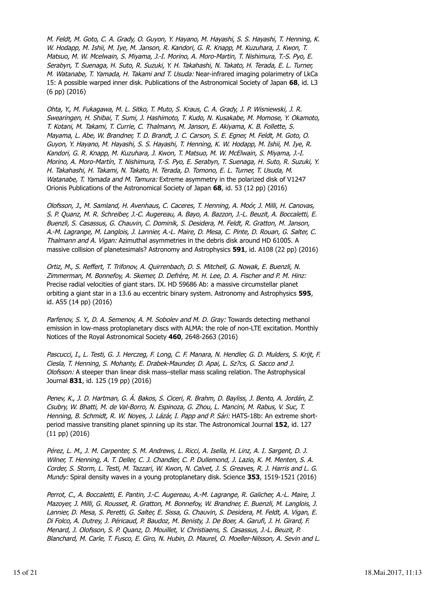M. Feldt, M. Goto, C. A. Grady, O. Guyon, Y. Hayano, M. Hayashi, S. S. Hayashi, T. Henning, K. W. Hodapp, M. Ishii, M. Iye, M. Janson, R. Kandori, G. R. Knapp, M. Kuzuhara, J. Kwon, T. Matsuo, M. W. Mcelwain, S. Miyama, J.-I. Morino, A. Moro-Martin, T. Nishimura, T.-S. Pyo, E. Serabyn, T. Suenaga, H. Suto, R. Suzuki, Y. H. Takahashi, N. Takato, H. Terada, E. L. Turner, M. Watanabe, T. Yamada, H. Takami and T. Usuda: Near-infrared imaging polarimetry of LkCa 15: A possible warped inner disk. Publications of the Astronomical Society of Japan **68**, id. L3 (6 pp) (2016)

Ohta, Y., M. Fukagawa, M. L. Sitko, T. Muto, S. Kraus, C. A. Grady, J. P. Wisniewski, J. R. Swearingen, H. Shibai, T. Sumi, J. Hashimoto, T. Kudo, N. Kusakabe, M. Momose, Y. Okamoto, T. Kotani, M. Takami, T. Currie, C. Thalmann, M. Janson, E. Akiyama, K. B. Follette, S. Mayama, L. Abe, W. Brandner, T. D. Brandt, J. C. Carson, S. E. Egner, M. Feldt, M. Goto, O. Guyon, Y. Hayano, M. Hayashi, S. S. Hayashi, T. Henning, K. W. Hodapp, M. Ishii, M. Iye, R. Kandori, G. R. Knapp, M. Kuzuhara, J. Kwon, T. Matsuo, M. W. McElwain, S. Miyama, J.-I. Morino, A. Moro-Martín, T. Nishimura, T.-S. Pyo, E. Serabyn, T. Suenaga, H. Suto, R. Suzuki, Y. H. Takahashi, H. Takami, N. Takato, H. Terada, D. Tomono, E. L. Turner, T. Usuda, M. Watanabe, T. Yamada and M. Tamura: Extreme asymmetry in the polarized disk of V1247 Orionis Publications of the Astronomical Society of Japan **68**, id. 53 (12 pp) (2016)

Olofsson, J., M. Samland, H. Avenhaus, C. Caceres, T. Henning, A. Moór, J. Milli, H. Canovas, S. P. Quanz, M. R. Schreiber, J.-C. Augereau, A. Bayo, A. Bazzon, J.-L. Beuzit, A. Boccaletti, E. Buenzli, S. Casassus, G. Chauvin, C. Dominik, S. Desidera, M. Feldt, R. Gratton, M. Janson, A.-M. Lagrange, M. Langlois, J. Lannier, A.-L. Maire, D. Mesa, C. Pinte, D. Rouan, G. Salter, C. Thalmann and A. Vigan: Azimuthal asymmetries in the debris disk around HD 61005. A massive collision of planetesimals? Astronomy and Astrophysics **591**, id. A108 (22 pp) (2016)

Ortiz, M., S. Reffert, T. Trifonov, A. Quirrenbach, D. S. Mitchell, G. Nowak, E. Buenzli, N. Zimmerman, M. Bonnefoy, A. Skemer, D. Defrère, M. H. Lee, D. A. Fischer and P. M. Hinz: Precise radial velocities of giant stars. IX. HD 59686 Ab: a massive circumstellar planet orbiting a giant star in a 13.6 au eccentric binary system. Astronomy and Astrophysics **595**, id. A55 (14 pp) (2016)

Parfenov, S. Y., D. A. Semenov, A. M. Sobolev and M. D. Gray: Towards detecting methanol emission in low-mass protoplanetary discs with ALMA: the role of non-LTE excitation. Monthly Notices of the Royal Astronomical Society **460**, 2648-2663 (2016)

Pascucci, I., L. Testi, G. J. Herczeg, F. Long, C. F. Manara, N. Hendler, G. D. Mulders, S. Krijt, F. Ciesla, T. Henning, S. Mohanty, E. Drabek-Maunder, D. Apai, L. Sz?cs, G. Sacco and J. Olofsson: A steeper than linear disk mass–stellar mass scaling relation. The Astrophysical Journal **831**, id. 125 (19 pp) (2016)

Penev, K., J. D. Hartman, G. Á. Bakos, S. Ciceri, R. Brahm, D. Bayliss, J. Bento, A. Jordán, Z. Csubry, W. Bhatti, M. de Val-Borro, N. Espinoza, G. Zhou, L. Mancini, M. Rabus, V. Suc, T. Henning, B. Schmidt, R. W. Noyes, J. Lázár, I. Papp and P. Sári: HATS-18b: An extreme shortperiod massive transiting planet spinning up its star. The Astronomical Journal **152**, id. 127 (11 pp) (2016)

Pérez, L. M., J. M. Carpenter, S. M. Andrews, L. Ricci, A. Isella, H. Linz, A. I. Sargent, D. J. Wilner, T. Henning, A. T. Deller, C. J. Chandler, C. P. Dullemond, J. Lazio, K. M. Menten, S. A. Corder, S. Storm, L. Testi, M. Tazzari, W. Kwon, N. Calvet, J. S. Greaves, R. J. Harris and L. G. Mundy: Spiral density waves in a young protoplanetary disk. Science **353**, 1519-1521 (2016)

Perrot, C., A. Boccaletti, E. Pantin, J.-C. Augereau, A.-M. Lagrange, R. Galicher, A.-L. Maire, J. Mazoyer, J. Milli, G. Rousset, R. Gratton, M. Bonnefoy, W. Brandner, E. Buenzli, M. Langlois, J. Lannier, D. Mesa, S. Peretti, G. Salter, E. Sissa, G. Chauvin, S. Desidera, M. Feldt, A. Vigan, E. Di Folco, A. Dutrey, J. Péricaud, P. Baudoz, M. Benisty, J. De Boer, A. Garufi, J. H. Girard, F. Menard, J. Olofsson, S. P. Quanz, D. Mouillet, V. Christiaens, S. Casassus, J.-L. Beuzit, P. Blanchard, M. Carle, T. Fusco, E. Giro, N. Hubin, D. Maurel, O. Moeller-Nilsson, A. Sevin and L.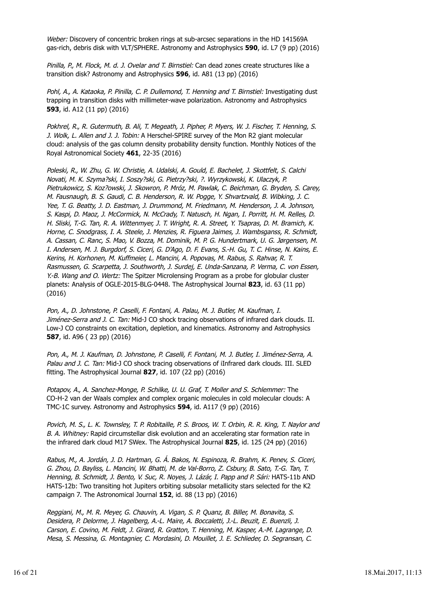Weber: Discovery of concentric broken rings at sub-arcsec separations in the HD 141569A gas-rich, debris disk with VLT/SPHERE. Astronomy and Astrophysics **590**, id. L7 (9 pp) (2016)

Pinilla, P., M. Flock, M. d. J. Ovelar and T. Birnstiel: Can dead zones create structures like a transition disk? Astronomy and Astrophysics **596**, id. A81 (13 pp) (2016)

Pohl, A., A. Kataoka, P. Pinilla, C. P. Dullemond, T. Henning and T. Birnstiel: Investigating dust trapping in transition disks with millimeter-wave polarization. Astronomy and Astrophysics **593**, id. A12 (11 pp) (2016)

Pokhrel, R., R. Gutermuth, B. Ali, T. Megeath, J. Pipher, P. Myers, W. J. Fischer, T. Henning, S. J. Wolk, L. Allen and J. J. Tobin: A Herschel-SPIRE survey of the Mon R2 giant molecular cloud: analysis of the gas column density probability density function. Monthly Notices of the Royal Astronomical Society **461**, 22-35 (2016)

Poleski, R., W. Zhu, G. W. Christie, A. Udalski, A. Gould, E. Bachelet, J. Skottfelt, S. Calchi Novati, M. K. Szyma?ski, I. Soszy?ski, G. Pietrzy?ski, ?. Wyrzykowski, K. Ulaczyk, P. Pietrukowicz, S. Koz?owski, J. Skowron, P. Mróz, M. Pawlak, C. Beichman, G. Bryden, S. Carey, M. Fausnaugh, B. S. Gaudi, C. B. Henderson, R. W. Pogge, Y. Shvartzvald, B. Wibking, J. C. Yee, T. G. Beatty, J. D. Eastman, J. Drummond, M. Friedmann, M. Henderson, J. A. Johnson, S. Kaspi, D. Maoz, J. McCormick, N. McCrady, T. Natusch, H. Ngan, I. Porritt, H. M. Relles, D. H. Sliski, T.-G. Tan, R. A. Wittenmyer, J. T. Wright, R. A. Street, Y. Tsapras, D. M. Bramich, K. Horne, C. Snodgrass, I. A. Steele, J. Menzies, R. Figuera Jaimes, J. Wambsganss, R. Schmidt, A. Cassan, C. Ranc, S. Mao, V. Bozza, M. Dominik, M. P. G. Hundertmark, U. G. Jørgensen, M. I. Andersen, M. J. Burgdorf, S. Ciceri, G. D'Ago, D. F. Evans, S.-H. Gu, T. C. Hinse, N. Kains, E. Kerins, H. Korhonen, M. Kuffmeier, L. Mancini, A. Popovas, M. Rabus, S. Rahvar, R. T. Rasmussen, G. Scarpetta, J. Southworth, J. Surdej, E. Unda-Sanzana, P. Verma, C. von Essen, Y.-B. Wang and O. Wertz: The Spitzer Microlensing Program as a probe for globular cluster planets: Analysis of OGLE-2015-BLG-0448. The Astrophysical Journal **823**, id. 63 (11 pp) (2016)

Pon, A., D. Johnstone, P. Caselli, F. Fontani, A. Palau, M. J. Butler, M. Kaufman, I. Jiménez-Serra and J. C. Tan: Mid-J CO shock tracing observations of infrared dark clouds. II. Low-J CO constraints on excitation, depletion, and kinematics. Astronomy and Astrophysics **587**, id. A96 ( 23 pp) (2016)

Pon, A., M. J. Kaufman, D. Johnstone, P. Caselli, F. Fontani, M. J. Butler, I. Jiménez-Serra, A. Palau and J. C. Tan: Mid-J CO shock tracing observations of iInfrared dark clouds. III. SLED fitting. The Astrophysical Journal **827**, id. 107 (22 pp) (2016)

Potapov, A., A. Sanchez-Monge, P. Schilke, U. U. Graf, T. Moller and S. Schlemmer: The CO-H-2 van der Waals complex and complex organic molecules in cold molecular clouds: A TMC-1C survey. Astronomy and Astrophysics **594**, id. A117 (9 pp) (2016)

Povich, M. S., L. K. Townsley, T. P. Robitaille, P. S. Broos, W. T. Orbin, R. R. King, T. Naylor and B. A. Whitney: Rapid circumstellar disk evolution and an accelerating star formation rate in the infrared dark cloud M17 SWex. The Astrophysical Journal **825**, id. 125 (24 pp) (2016)

Rabus, M., A. Jordán, J. D. Hartman, G. Á. Bakos, N. Espinoza, R. Brahm, K. Penev, S. Ciceri, G. Zhou, D. Bayliss, L. Mancini, W. Bhatti, M. de Val-Borro, Z. Csbury, B. Sato, T.-G. Tan, T. Henning, B. Schmidt, J. Bento, V. Suc, R. Noyes, J. Lázár, I. Papp and P. Sári: HATS-11b AND HATS-12b: Two transiting hot Jupiters orbiting subsolar metallicity stars selected for the K2 campaign 7. The Astronomical Journal **152**, id. 88 (13 pp) (2016)

Reggiani, M., M. R. Meyer, G. Chauvin, A. Vigan, S. P. Quanz, B. Biller, M. Bonavita, S. Desidera, P. Delorme, J. Hagelberg, A.-L. Maire, A. Boccaletti, J.-L. Beuzit, E. Buenzli, J. Carson, E. Covino, M. Feldt, J. Girard, R. Gratton, T. Henning, M. Kasper, A.-M. Lagrange, D. Mesa, S. Messina, G. Montagnier, C. Mordasini, D. Mouillet, J. E. Schlieder, D. Segransan, C.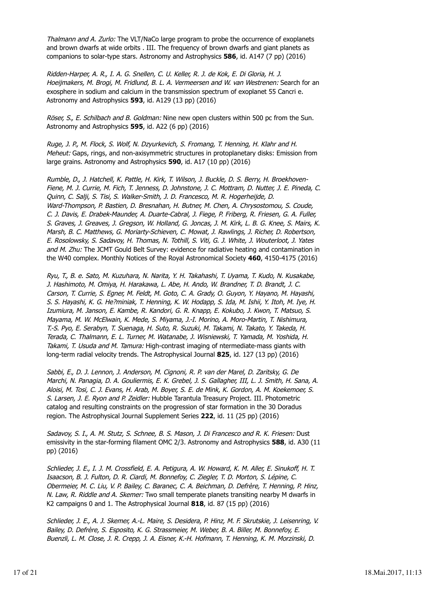Thalmann and A. Zurlo: The VLT/NaCo large program to probe the occurrence of exoplanets and brown dwarfs at wide orbits . III. The frequency of brown dwarfs and giant planets as companions to solar-type stars. Astronomy and Astrophysics **586**, id. A147 (7 pp) (2016)

Ridden-Harper, A. R., I. A. G. Snellen, C. U. Keller, R. J. de Kok, E. Di Gloria, H. J. Hoeijmakers, M. Brogi, M. Fridlund, B. L. A. Vermeersen and W. van Westrenen: Search for an exosphere in sodium and calcium in the transmission spectrum of exoplanet 55 Cancri e. Astronomy and Astrophysics **593**, id. A129 (13 pp) (2016)

Röser, S., E. Schilbach and B. Goldman: Nine new open clusters within 500 pc from the Sun. Astronomy and Astrophysics **595**, id. A22 (6 pp) (2016)

Ruge, J. P., M. Flock, S. Wolf, N. Dzyurkevich, S. Fromang, T. Henning, H. Klahr and H. Meheut: Gaps, rings, and non-axisymmetric structures in protoplanetary disks: Emission from large grains. Astronomy and Astrophysics **590**, id. A17 (10 pp) (2016)

Rumble, D., J. Hatchell, K. Pattle, H. Kirk, T. Wilson, J. Buckle, D. S. Berry, H. Broekhoven-Fiene, M. J. Currie, M. Fich, T. Jenness, D. Johnstone, J. C. Mottram, D. Nutter, J. E. Pineda, C. Quinn, C. Salji, S. Tisi, S. Walker-Smith, J. D. Francesco, M. R. Hogerheijde, D. Ward-Thompson, P. Bastien, D. Bresnahan, H. Butner, M. Chen, A. Chrysostomou, S. Coude, C. J. Davis, E. Drabek-Maunder, A. Duarte-Cabral, J. Fiege, P. Friberg, R. Friesen, G. A. Fuller, S. Graves, J. Greaves, J. Gregson, W. Holland, G. Joncas, J. M. Kirk, L. B. G. Knee, S. Mairs, K. Marsh, B. C. Matthews, G. Moriarty-Schieven, C. Mowat, J. Rawlings, J. Richer, D. Robertson, E. Rosolowsky, S. Sadavoy, H. Thomas, N. Tothill, S. Viti, G. J. White, J. Wouterloot, J. Yates and M. Zhu: The JCMT Gould Belt Survey: evidence for radiative heating and contamination in the W40 complex. Monthly Notices of the Royal Astronomical Society **460**, 4150-4175 (2016)

Ryu, T., B. e. Sato, M. Kuzuhara, N. Narita, Y. H. Takahashi, T. Uyama, T. Kudo, N. Kusakabe, J. Hashimoto, M. Omiya, H. Harakawa, L. Abe, H. Ando, W. Brandner, T. D. Brandt, J. C. Carson, T. Currie, S. Egner, M. Feldt, M. Goto, C. A. Grady, O. Guyon, Y. Hayano, M. Hayashi, S. S. Hayashi, K. G. He?miniak, T. Henning, K. W. Hodapp, S. Ida, M. Ishii, Y. Itoh, M. Iye, H. Izumiura, M. Janson, E. Kambe, R. Kandori, G. R. Knapp, E. Kokubo, J. Kwon, T. Matsuo, S. Mayama, M. W. McElwain, K. Mede, S. Miyama, J.-I. Morino, A. Moro-Martin, T. Nishimura, T.-S. Pyo, E. Serabyn, T. Suenaga, H. Suto, R. Suzuki, M. Takami, N. Takato, Y. Takeda, H. Terada, C. Thalmann, E. L. Turner, M. Watanabe, J. Wisniewski, T. Yamada, M. Yoshida, H. Takami, T. Usuda and M. Tamura: High-contrast imaging of ntermediate-mass giants with long-term radial velocity trends. The Astrophysical Journal **825**, id. 127 (13 pp) (2016)

Sabbi, E., D. J. Lennon, J. Anderson, M. Cignoni, R. P. van der Marel, D. Zaritsky, G. De Marchi, N. Panagia, D. A. Gouliermis, E. K. Grebel, J. S. Gallagher, III, L. J. Smith, H. Sana, A. Aloisi, M. Tosi, C. J. Evans, H. Arab, M. Boyer, S. E. de Mink, K. Gordon, A. M. Koekemoer, S. S. Larsen, J. E. Ryon and P. Zeidler: Hubble Tarantula Treasury Project. III. Photometric catalog and resulting constraints on the progression of star formation in the 30 Doradus region. The Astrophysical Journal Supplement Series **222**, id. 11 (25 pp) (2016)

Sadavoy, S. I., A. M. Stutz, S. Schnee, B. S. Mason, J. Di Francesco and R. K. Friesen: Dust emissivity in the star-forming filament OMC 2/3. Astronomy and Astrophysics **588**, id. A30 (11 pp) (2016)

Schlieder, J. E., I. J. M. Crossfield, E. A. Petigura, A. W. Howard, K. M. Aller, E. Sinukoff, H. T. Isaacson, B. J. Fulton, D. R. Ciardi, M. Bonnefoy, C. Ziegler, T. D. Morton, S. Lépine, C. Obermeier, M. C. Liu, V. P. Bailey, C. Baranec, C. A. Beichman, D. Defrère, T. Henning, P. Hinz, N. Law, R. Riddle and A. Skemer: Two small temperate planets transiting nearby M dwarfs in K2 campaigns 0 and 1. The Astrophysical Journal **818**, id. 87 (15 pp) (2016)

Schlieder, J. E., A. J. Skemer, A.-L. Maire, S. Desidera, P. Hinz, M. F. Skrutskie, J. Leisenring, V. Bailey, D. Defrère, S. Esposito, K. G. Strassmeier, M. Weber, B. A. Biller, M. Bonnefoy, E. Buenzli, L. M. Close, J. R. Crepp, J. A. Eisner, K.-H. Hofmann, T. Henning, K. M. Morzinski, D.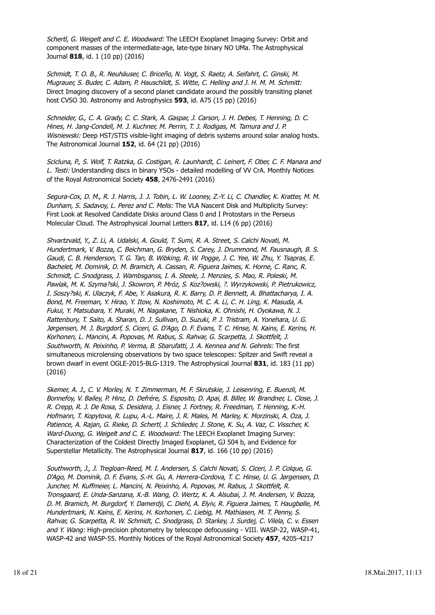Schertl, G. Weigelt and C. E. Woodward: The LEECH Exoplanet Imaging Survey: Orbit and component masses of the intermediate-age, late-type binary NO UMa. The Astrophysical Journal **818**, id. 1 (10 pp) (2016)

Schmidt, T. O. B., R. Neuhäuser, C. Briceño, N. Vogt, S. Raetz, A. Seifahrt, C. Ginski, M. Mugrauer, S. Buder, C. Adam, P. Hauschildt, S. Witte, C. Helling and J. H. M. M. Schmitt: Direct Imaging discovery of a second planet candidate around the possibly transiting planet host CVSO 30. Astronomy and Astrophysics **593**, id. A75 (15 pp) (2016)

Schneider, G., C. A. Grady, C. C. Stark, A. Gaspar, J. Carson, J. H. Debes, T. Henning, D. C. Hines, H. Jang-Condell, M. J. Kuchner, M. Perrin, T. J. Rodigas, M. Tamura and J. P. Wisniewski: Deep HST/STIS visible-light imaging of debris systems around solar analog hosts. The Astronomical Journal **152**, id. 64 (21 pp) (2016)

Scicluna, P., S. Wolf, T. Ratzka, G. Costigan, R. Launhardt, C. Leinert, F. Ober, C. F. Manara and L. Testi: Understanding discs in binary YSOs - detailed modelling of VV CrA. Monthly Notices of the Royal Astronomical Society **458**, 2476-2491 (2016)

Segura-Cox, D. M., R. J. Harris, J. J. Tobin, L. W. Looney, Z.-Y. Li, C. Chandler, K. Kratter, M. M. Dunham, S. Sadavoy, L. Perez and C. Melis: The VLA Nascent Disk and Multiplicity Survey: First Look at Resolved Candidate Disks around Class 0 and I Protostars in the Perseus Molecular Cloud. The Astrophysical Journal Letters **817**, id. L14 (6 pp) (2016)

Shvartzvald, Y., Z. Li, A. Udalski, A. Gould, T. Sumi, R. A. Street, S. Calchi Novati, M. Hundertmark, V. Bozza, C. Beichman, G. Bryden, S. Carey, J. Drummond, M. Fausnaugh, B. S. Gaudi, C. B. Henderson, T. G. Tan, B. Wibking, R. W. Pogge, J. C. Yee, W. Zhu, Y. Tsapras, E. Bachelet, M. Dominik, D. M. Bramich, A. Cassan, R. Figuera Jaimes, K. Horne, C. Ranc, R. Schmidt, C. Snodgrass, J. Wambsganss, I. A. Steele, J. Menzies, S. Mao, R. Poleski, M. Pawlak, M. K. Szyma?ski, J. Skowron, P. Mróz, S. Koz?owski, ?. Wyrzykowski, P. Pietrukowicz, I. Soszy?ski, K. Ulaczyk, F. Abe, Y. Asakura, R. K. Barry, D. P. Bennett, A. Bhattacharya, I. A. Bond, M. Freeman, Y. Hirao, Y. Itow, N. Koshimoto, M. C. A. Li, C. H. Ling, K. Masuda, A. Fukui, Y. Matsubara, Y. Muraki, M. Nagakane, T. Nishioka, K. Ohnishi, H. Oyokawa, N. J. Rattenbury, T. Saito, A. Sharan, D. J. Sullivan, D. Suzuki, P. J. Tristram, A. Yonehara, U. G. Jørgensen, M. J. Burgdorf, S. Ciceri, G. D'Ago, D. F. Evans, T. C. Hinse, N. Kains, E. Kerins, H. Korhonen, L. Mancini, A. Popovas, M. Rabus, S. Rahvar, G. Scarpetta, J. Skottfelt, J. Southworth, N. Peixinho, P. Verma, B. Sbarufatti, J. A. Kennea and N. Gehrels: The first simultaneous microlensing observations by two space telescopes: Spitzer and Swift reveal a brown dwarf in event OGLE-2015-BLG-1319. The Astrophysical Journal **831**, id. 183 (11 pp) (2016)

Skemer, A. J., C. V. Morley, N. T. Zimmerman, M. F. Skrutskie, J. Leisenring, E. Buenzli, M. Bonnefoy, V. Bailey, P. Hinz, D. Defrére, S. Esposito, D. Apai, B. Biller, W. Brandner, L. Close, J. R. Crepp, R. J. De Rosa, S. Desidera, J. Eisner, J. Fortney, R. Freedman, T. Henning, K.-H. Hofmann, T. Kopytova, R. Lupu, A.-L. Maire, J. R. Males, M. Marley, K. Morzinski, A. Oza, J. Patience, A. Rajan, G. Rieke, D. Schertl, J. Schlieder, J. Stone, K. Su, A. Vaz, C. Visscher, K. Ward-Duong, G. Weigelt and C. E. Woodward: The LEECH Exoplanet Imaging Survey: Characterization of the Coldest Directly Imaged Exoplanet, GJ 504 b, and Evidence for Superstellar Metallicity. The Astrophysical Journal **817**, id. 166 (10 pp) (2016)

Southworth, J., J. Tregloan-Reed, M. I. Andersen, S. Calchi Novati, S. Ciceri, J. P. Colque, G. D'Ago, M. Dominik, D. F. Evans, S.-H. Gu, A. Herrera-Cordova, T. C. Hinse, U. G. Jørgensen, D. Juncher, M. Kuffmeier, L. Mancini, N. Peixinho, A. Popovas, M. Rabus, J. Skottfelt, R. Tronsgaard, E. Unda-Sanzana, X.-B. Wang, O. Wertz, K. A. Alsubai, J. M. Andersen, V. Bozza, D. M. Bramich, M. Burgdorf, Y. Damerdji, C. Diehl, A. Elyiv, R. Figuera Jaimes, T. Haugbølle, M. Hundertmark, N. Kains, E. Kerins, H. Korhonen, C. Liebig, M. Mathiasen, M. T. Penny, S. Rahvar, G. Scarpetta, R. W. Schmidt, C. Snodgrass, D. Starkey, J. Surdej, C. Vilela, C. v. Essen and Y. Wang: High-precision photometry by telescope defocussing - VIII. WASP-22, WASP-41, WASP-42 and WASP-55. Monthly Notices of the Royal Astronomical Society **457**, 4205-4217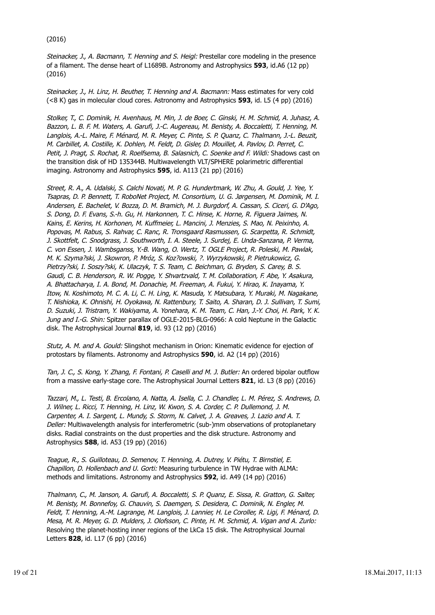#### (2016)

Steinacker, J., A. Bacmann, T. Henning and S. Heigl: Prestellar core modeling in the presence of a filament. The dense heart of L1689B. Astronomy and Astrophysics **593**, id.A6 (12 pp) (2016)

Steinacker, J., H. Linz, H. Beuther, T. Henning and A. Bacmann: Mass estimates for very cold (<8 K) gas in molecular cloud cores. Astronomy and Astrophysics **593**, id. L5 (4 pp) (2016)

Stolker, T., C. Dominik, H. Avenhaus, M. Min, J. de Boer, C. Ginski, H. M. Schmid, A. Juhasz, A. Bazzon, L. B. F. M. Waters, A. Garufi, J.-C. Augereau, M. Benisty, A. Boccaletti, T. Henning, M. Langlois, A.-L. Maire, F. Ménard, M. R. Meyer, C. Pinte, S. P. Quanz, C. Thalmann, J.-L. Beuzit, M. Carbillet, A. Costille, K. Dohlen, M. Feldt, D. Gisler, D. Mouillet, A. Pavlov, D. Perret, C. Petit, J. Pragt, S. Rochat, R. Roelfsema, B. Salasnich, C. Soenke and F. Wildi: Shadows cast on the transition disk of HD 135344B. Multiwavelength VLT/SPHERE polarimetric differential imaging. Astronomy and Astrophysics **595**, id. A113 (21 pp) (2016)

Street, R. A., A. Udalski, S. Calchi Novati, M. P. G. Hundertmark, W. Zhu, A. Gould, J. Yee, Y. Tsapras, D. P. Bennett, T. RoboNet Project, M. Consortium, U. G. Jørgensen, M. Dominik, M. I. Andersen, E. Bachelet, V. Bozza, D. M. Bramich, M. J. Burgdorf, A. Cassan, S. Ciceri, G. D'Ago, S. Dong, D. F. Evans, S.-h. Gu, H. Harkonnen, T. C. Hinse, K. Horne, R. Figuera Jaimes, N. Kains, E. Kerins, H. Korhonen, M. Kuffmeier, L. Mancini, J. Menzies, S. Mao, N. Peixinho, A. Popovas, M. Rabus, S. Rahvar, C. Ranc, R. Tronsgaard Rasmussen, G. Scarpetta, R. Schmidt, J. Skottfelt, C. Snodgrass, J. Southworth, I. A. Steele, J. Surdej, E. Unda-Sanzana, P. Verma, C. von Essen, J. Wambsganss, Y.-B. Wang, O. Wertz, T. OGLE Project, R. Poleski, M. Pawlak, M. K. Szyma?ski, J. Skowron, P. Mróz, S. Koz?owski, ?. Wyrzykowski, P. Pietrukowicz, G. Pietrzy?ski, I. Soszy?ski, K. Ulaczyk, T. S. Team, C. Beichman, G. Bryden, S. Carey, B. S. Gaudi, C. B. Henderson, R. W. Pogge, Y. Shvartzvald, T. M. Collaboration, F. Abe, Y. Asakura, A. Bhattacharya, I. A. Bond, M. Donachie, M. Freeman, A. Fukui, Y. Hirao, K. Inayama, Y. Itow, N. Koshimoto, M. C. A. Li, C. H. Ling, K. Masuda, Y. Matsubara, Y. Muraki, M. Nagakane, T. Nishioka, K. Ohnishi, H. Oyokawa, N. Rattenbury, T. Saito, A. Sharan, D. J. Sullivan, T. Sumi, D. Suzuki, J. Tristram, Y. Wakiyama, A. Yonehara, K. M. Team, C. Han, J.-Y. Choi, H. Park, Y. K. Jung and I.-G. Shin: Spitzer parallax of OGLE-2015-BLG-0966: A cold Neptune in the Galactic disk. The Astrophysical Journal **819**, id. 93 (12 pp) (2016)

Stutz, A. M. and A. Gould: Slingshot mechanism in Orion: Kinematic evidence for ejection of protostars by filaments. Astronomy and Astrophysics **590**, id. A2 (14 pp) (2016)

Tan, J. C., S. Kong, Y. Zhang, F. Fontani, P. Caselli and M. J. Butler: An ordered bipolar outflow from a massive early-stage core. The Astrophysical Journal Letters **821**, id. L3 (8 pp) (2016)

Tazzari, M., L. Testi, B. Ercolano, A. Natta, A. Isella, C. J. Chandler, L. M. Pérez, S. Andrews, D. J. Wilner, L. Ricci, T. Henning, H. Linz, W. Kwon, S. A. Corder, C. P. Dullemond, J. M. Carpenter, A. I. Sargent, L. Mundy, S. Storm, N. Calvet, J. A. Greaves, J. Lazio and A. T. Deller: Multiwavelength analysis for interferometric (sub-)mm observations of protoplanetary disks. Radial constraints on the dust properties and the disk structure. Astronomy and Astrophysics **588**, id. A53 (19 pp) (2016)

Teague, R., S. Guilloteau, D. Semenov, T. Henning, A. Dutrey, V. Piétu, T. Birnstiel, E. Chapillon, D. Hollenbach and U. Gorti: Measuring turbulence in TW Hydrae with ALMA: methods and limitations. Astronomy and Astrophysics **592**, id. A49 (14 pp) (2016)

Thalmann, C., M. Janson, A. Garufi, A. Boccaletti, S. P. Quanz, E. Sissa, R. Gratton, G. Salter, M. Benisty, M. Bonnefoy, G. Chauvin, S. Daemgen, S. Desidera, C. Dominik, N. Engler, M. Feldt, T. Henning, A.-M. Lagrange, M. Langlois, J. Lannier, H. Le Coroller, R. Ligi, F. Ménard, D. Mesa, M. R. Meyer, G. D. Mulders, J. Olofsson, C. Pinte, H. M. Schmid, A. Vigan and A. Zurlo: Resolving the planet-hosting inner regions of the LkCa 15 disk. The Astrophysical Journal Letters **828**, id. L17 (6 pp) (2016)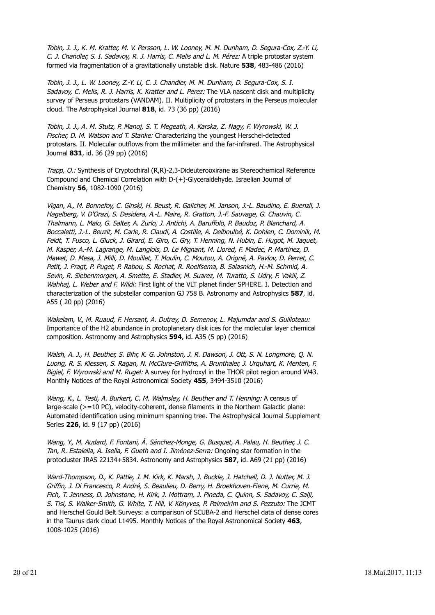Tobin, J. J., K. M. Kratter, M. V. Persson, L. W. Looney, M. M. Dunham, D. Segura-Cox, Z.-Y. Li, C. J. Chandler, S. I. Sadavoy, R. J. Harris, C. Melis and L. M. Pérez: A triple protostar system formed via fragmentation of a gravitationally unstable disk. Nature **538**, 483-486 (2016)

Tobin, J. J., L. W. Looney, Z.-Y. Li, C. J. Chandler, M. M. Dunham, D. Segura-Cox, S. I. Sadavoy, C. Melis, R. J. Harris, K. Kratter and L. Perez: The VLA nascent disk and multiplicity survey of Perseus protostars (VANDAM). II. Multiplicity of protostars in the Perseus molecular cloud. The Astrophysical Journal **818**, id. 73 (36 pp) (2016)

Tobin, J. J., A. M. Stutz, P. Manoj, S. T. Megeath, A. Karska, Z. Nagy, F. Wyrowski, W. J. Fischer, D. M. Watson and T. Stanke: Characterizing the youngest Herschel-detected protostars. II. Molecular outflows from the millimeter and the far-infrared. The Astrophysical Journal **831**, id. 36 (29 pp) (2016)

Trapp, O.: Synthesis of Cryptochiral (R,R)-2,3-Dideuterooxirane as Stereochemical Reference Compound and Chemical Correlation with D-(+)-Glyceraldehyde. Israelian Journal of Chemistry **56**, 1082-1090 (2016)

Vigan, A., M. Bonnefoy, C. Ginski, H. Beust, R. Galicher, M. Janson, J.-L. Baudino, E. Buenzli, J. Hagelberg, V. D'Orazi, S. Desidera, A.-L. Maire, R. Gratton, J.-F. Sauvage, G. Chauvin, C. Thalmann, L. Malo, G. Salter, A. Zurlo, J. Antichi, A. Baruffolo, P. Baudoz, P. Blanchard, A. Boccaletti, J.-L. Beuzit, M. Carle, R. Claudi, A. Costille, A. Delboulbé, K. Dohlen, C. Dominik, M. Feldt, T. Fusco, L. Gluck, J. Girard, E. Giro, C. Gry, T. Henning, N. Hubin, E. Hugot, M. Jaquet, M. Kasper, A.-M. Lagrange, M. Langlois, D. Le Mignant, M. Llored, F. Madec, P. Martinez, D. Mawet, D. Mesa, J. Milli, D. Mouillet, T. Moulin, C. Moutou, A. Origné, A. Pavlov, D. Perret, C. Petit, J. Pragt, P. Puget, P. Rabou, S. Rochat, R. Roelfsema, B. Salasnich, H.-M. Schmid, A. Sevin, R. Siebenmorgen, A. Smette, E. Stadler, M. Suarez, M. Turatto, S. Udry, F. Vakili, Z. Wahhaj, L. Weber and F. Wildi: First light of the VLT planet finder SPHERE. I. Detection and characterization of the substellar companion GJ 758 B. Astronomy and Astrophysics **587**, id. A55 ( 20 pp) (2016)

Wakelam, V., M. Ruaud, F. Hersant, A. Dutrey, D. Semenov, L. Majumdar and S. Guilloteau: Importance of the H2 abundance in protoplanetary disk ices for the molecular layer chemical composition. Astronomy and Astrophysics **594**, id. A35 (5 pp) (2016)

Walsh, A. J., H. Beuther, S. Bihr, K. G. Johnston, J. R. Dawson, J. Ott, S. N. Longmore, Q. N. Luong, R. S. Klessen, S. Ragan, N. McClure-Griffiths, A. Brunthaler, J. Urquhart, K. Menten, F. Bigiel, F. Wyrowski and M. Rugel: A survey for hydroxyl in the THOR pilot region around W43. Monthly Notices of the Royal Astronomical Society **455**, 3494-3510 (2016)

Wang, K., L. Testi, A. Burkert, C. M. Walmsley, H. Beuther and T. Henning: A census of large-scale (>=10 PC), velocity-coherent, dense filaments in the Northern Galactic plane: Automated identification using minimum spanning tree. The Astrophysical Journal Supplement Series **226**, id. 9 (17 pp) (2016)

Wang, Y., M. Audard, F. Fontani, Á. Sánchez-Monge, G. Busquet, A. Palau, H. Beuther, J. C. Tan, R. Estalella, A. Isella, F. Gueth and I. Jiménez-Serra: Ongoing star formation in the protocluster IRAS 22134+5834. Astronomy and Astrophysics **587**, id. A69 (21 pp) (2016)

Ward-Thompson, D., K. Pattle, J. M. Kirk, K. Marsh, J. Buckle, J. Hatchell, D. J. Nutter, M. J. Griffin, J. Di Francesco, P. André, S. Beaulieu, D. Berry, H. Broekhoven-Fiene, M. Currie, M. Fich, T. Jenness, D. Johnstone, H. Kirk, J. Mottram, J. Pineda, C. Quinn, S. Sadavoy, C. Salji, S. Tisi, S. Walker-Smith, G. White, T. Hill, V. Könyves, P. Palmeirim and S. Pezzuto: The JCMT and Herschel Gould Belt Surveys: a comparison of SCUBA-2 and Herschel data of dense cores in the Taurus dark cloud L1495. Monthly Notices of the Royal Astronomical Society **463**, 1008-1025 (2016)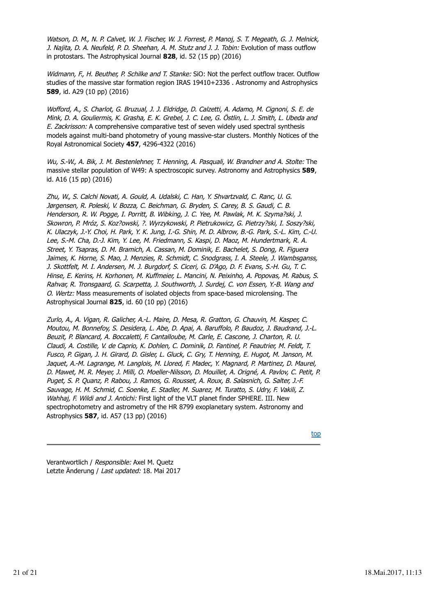Watson, D. M., N. P. Calvet, W. J. Fischer, W. J. Forrest, P. Manoj, S. T. Megeath, G. J. Melnick, J. Najita, D. A. Neufeld, P. D. Sheehan, A. M. Stutz and J. J. Tobin: Evolution of mass outflow in protostars. The Astrophysical Journal **828**, id. 52 (15 pp) (2016)

Widmann, F., H. Beuther, P. Schilke and T. Stanke: SiO: Not the perfect outflow tracer. Outflow studies of the massive star formation region IRAS 19410+2336 . Astronomy and Astrophysics **589**, id. A29 (10 pp) (2016)

Wofford, A., S. Charlot, G. Bruzual, J. J. Eldridge, D. Calzetti, A. Adamo, M. Cignoni, S. E. de Mink, D. A. Gouliermis, K. Grasha, E. K. Grebel, J. C. Lee, G. Östlin, L. J. Smith, L. Ubeda and E. Zackrisson: A comprehensive comparative test of seven widely used spectral synthesis models against multi-band photometry of young massive-star clusters. Monthly Notices of the Royal Astronomical Society **457**, 4296-4322 (2016)

Wu, S.-W., A. Bik, J. M. Bestenlehner, T. Henning, A. Pasquali, W. Brandner and A. Stolte: The massive stellar population of W49: A spectroscopic survey. Astronomy and Astrophysics **589**, id. A16 (15 pp) (2016)

Zhu, W., S. Calchi Novati, A. Gould, A. Udalski, C. Han, Y. Shvartzvald, C. Ranc, U. G. Jørgensen, R. Poleski, V. Bozza, C. Beichman, G. Bryden, S. Carey, B. S. Gaudi, C. B. Henderson, R. W. Pogge, I. Porritt, B. Wibking, J. C. Yee, M. Pawlak, M. K. Szyma?ski, J. Skowron, P. Mróz, S. Koz?owski, ?. Wyrzykowski, P. Pietrukowicz, G. Pietrzy?ski, I. Soszy?ski, K. Ulaczyk, J.-Y. Choi, H. Park, Y. K. Jung, I.-G. Shin, M. D. Albrow, B.-G. Park, S.-L. Kim, C.-U. Lee, S.-M. Cha, D.-J. Kim, Y. Lee, M. Friedmann, S. Kaspi, D. Maoz, M. Hundertmark, R. A. Street, Y. Tsapras, D. M. Bramich, A. Cassan, M. Dominik, E. Bachelet, S. Dong, R. Figuera Jaimes, K. Horne, S. Mao, J. Menzies, R. Schmidt, C. Snodgrass, I. A. Steele, J. Wambsganss, J. Skottfelt, M. I. Andersen, M. J. Burgdorf, S. Ciceri, G. D'Ago, D. F. Evans, S.-H. Gu, T. C. Hinse, E. Kerins, H. Korhonen, M. Kuffmeier, L. Mancini, N. Peixinho, A. Popovas, M. Rabus, S. Rahvar, R. Tronsgaard, G. Scarpetta, J. Southworth, J. Surdej, C. von Essen, Y.-B. Wang and O. Wertz: Mass measurements of isolated objects from space-based microlensing. The Astrophysical Journal **825**, id. 60 (10 pp) (2016)

Zurlo, A., A. Vigan, R. Galicher, A.-L. Maire, D. Mesa, R. Gratton, G. Chauvin, M. Kasper, C. Moutou, M. Bonnefoy, S. Desidera, L. Abe, D. Apai, A. Baruffolo, P. Baudoz, J. Baudrand, J.-L. Beuzit, P. Blancard, A. Boccaletti, F. Cantalloube, M. Carle, E. Cascone, J. Charton, R. U. Claudi, A. Costille, V. de Caprio, K. Dohlen, C. Dominik, D. Fantinel, P. Feautrier, M. Feldt, T. Fusco, P. Gigan, J. H. Girard, D. Gisler, L. Gluck, C. Gry, T. Henning, E. Hugot, M. Janson, M. Jaquet, A.-M. Lagrange, M. Langlois, M. Llored, F. Madec, Y. Magnard, P. Martinez, D. Maurel, D. Mawet, M. R. Meyer, J. Milli, O. Moeller-Nilsson, D. Mouillet, A. Origné, A. Pavlov, C. Petit, P. Puget, S. P. Quanz, P. Rabou, J. Ramos, G. Rousset, A. Roux, B. Salasnich, G. Salter, J.-F. Sauvage, H. M. Schmid, C. Soenke, E. Stadler, M. Suarez, M. Turatto, S. Udry, F. Vakili, Z. Wahhaj, F. Wildi and J. Antichi: First light of the VLT planet finder SPHERE. III. New spectrophotometry and astrometry of the HR 8799 exoplanetary system. Astronomy and Astrophysics **587**, id. A57 (13 pp) (2016)

top

Verantwortlich / Responsible: Axel M. Quetz Letzte Änderung / Last updated: 18. Mai 2017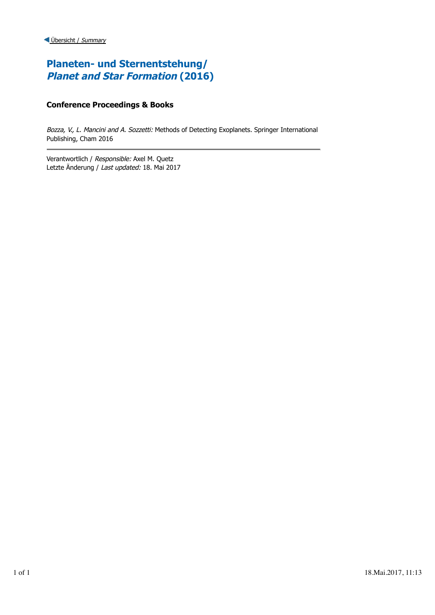# **Planeten- und Sternentstehung/ Planet and Star Formation (2016)**

### **Conference Proceedings & Books**

Bozza, V., L. Mancini and A. Sozzetti: Methods of Detecting Exoplanets. Springer International Publishing, Cham 2016

Verantwortlich / Responsible: Axel M. Quetz Letzte Änderung / Last updated: 18. Mai 2017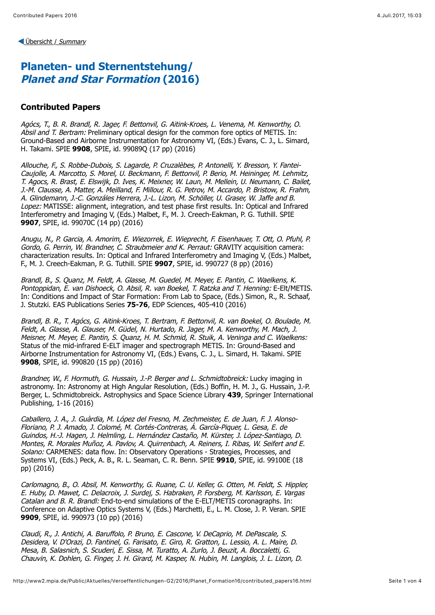[Übersicht /](http://www2.mpia.de/Public/Aktuelles/Veroeffentlichungen-G2/index.html) Summary

## <span id="page-22-0"></span>**Planeten- und Sternentstehung/ Planet and Star Formation (2016)**

### **Contributed Papers**

Agócs, T., B. R. Brandl, R. Jager, F. Bettonvil, G. Aitink-Kroes, L. Venema, M. Kenworthy, O. Absil and T. Bertram: Preliminary optical design for the common fore optics of METIS. In: Ground-Based and Airborne Instrumentation for Astronomy VI, (Eds.) Evans, C. J., L. Simard, H. Takami. SPIE **9908**, SPIE, id. 99089Q (17 pp) (2016)

Allouche, F., S. Robbe-Dubois, S. Lagarde, P. Cruzalèbes, P. Antonelli, Y. Bresson, Y. Fantei-Caujolle, A. Marcotto, S. Morel, U. Beckmann, F. Bettonvil, P. Berio, M. Heininger, M. Lehmitz, T. Agocs, R. Brast, E. Elswijk, D. Ives, K. Meixner, W. Laun, M. Mellein, U. Neumann, C. Bailet, J.-M. Clausse, A. Matter, A. Meilland, F. Millour, R. G. Petrov, M. Accardo, P. Bristow, R. Frahm, A. Glindemann, J.-C. Gonzáles Herrera, J.-L. Lizon, M. Schöller, U. Graser, W. Jaffe and B. Lopez: MATISSE: alignment, integration, and test phase first results. In: Optical and Infrared Interferometry and Imaging V, (Eds.) Malbet, F., M. J. Creech-Eakman, P. G. Tuthill. SPIE **9907**, SPIE, id. 99070C (14 pp) (2016)

Anugu, N., P. Garcia, A. Amorim, E. Wiezorrek, E. Wieprecht, F. Eisenhauer, T. Ott, O. Pfuhl, P. Gordo, G. Perrin, W. Brandner, C. Straubmeier and K. Perraut: GRAVITY acquisition camera: characterization results. In: Optical and Infrared Interferometry and Imaging V, (Eds.) Malbet, F., M. J. Creech-Eakman, P. G. Tuthill. SPIE **9907**, SPIE, id. 990727 (8 pp) (2016)

Brandl, B., S. Quanz, M. Feldt, A. Glasse, M. Guedel, M. Meyer, E. Pantin, C. Waelkens, K. Pontoppidan, E. van Dishoeck, O. Absil, R. van Boekel, T. Ratzka and T. Henning: E-Elt/METIS. In: Conditions and Impact of Star Formation: From Lab to Space, (Eds.) Simon, R., R. Schaaf, J. Stutzki. EAS Publications Series **75-76**, EDP Sciences, 405-410 (2016)

Brandl, B. R., T. Agócs, G. Aitink-Kroes, T. Bertram, F. Bettonvil, R. van Boekel, O. Boulade, M. Feldt, A. Glasse, A. Glauser, M. Güdel, N. Hurtado, R. Jager, M. A. Kenworthy, M. Mach, J. Meisner, M. Meyer, E. Pantin, S. Quanz, H. M. Schmid, R. Stuik, A. Veninga and C. Waelkens: Status of the mid-infrared E-ELT imager and spectrograph METIS. In: Ground-Based and Airborne Instrumentation for Astronomy VI, (Eds.) Evans, C. J., L. Simard, H. Takami. SPIE **9908**, SPIE, id. 990820 (15 pp) (2016)

Brandner, W., F. Hormuth, G. Hussain, J.-P. Berger and L. Schmidtobreick: Lucky imaging in astronomy. In: Astronomy at High Angular Resolution, (Eds.) Boffin, H. M. J., G. Hussain, J.-P. Berger, L. Schmidtobreick. Astrophysics and Space Science Library **439**, Springer International Publishing, 1-16 (2016)

Caballero, J. A., J. Guàrdia, M. López del Fresno, M. Zechmeister, E. de Juan, F. J. Alonso-Floriano, P. J. Amado, J. Colomé, M. Cortés-Contreras, Á. García-Piquer, L. Gesa, E. de Guindos, H.-J. Hagen, J. Helmling, L. Hernández Castaño, M. Kürster, J. López-Santiago, D. Montes, R. Morales Muñoz, A. Pavlov, A. Quirrenbach, A. Reiners, I. Ribas, W. Seifert and E. Solano: CARMENES: data flow. In: Observatory Operations - Strategies, Processes, and Systems VI, (Eds.) Peck, A. B., R. L. Seaman, C. R. Benn. SPIE **9910**, SPIE, id. 99100E (18 pp) (2016)

Carlomagno, B., O. Absil, M. Kenworthy, G. Ruane, C. U. Keller, G. Otten, M. Feldt, S. Hippler, E. Huby, D. Mawet, C. Delacroix, J. Surdej, S. Habraken, P. Forsberg, M. Karlsson, E. Vargas Catalan and B. R. Brandl: End-to-end simulations of the E-ELT/METIS coronagraphs. In: Conference on Adaptive Optics Systems V, (Eds.) Marchetti, E., L. M. Close, J. P. Veran. SPIE **9909**, SPIE, id. 990973 (10 pp) (2016)

Claudi, R., J. Antichi, A. Baruffolo, P. Bruno, E. Cascone, V. DeCaprio, M. DePascale, S. Desidera, V. D'Orazi, D. Fantinel, G. Farisato, E. Giro, R. Gratton, L. Lessio, A. L. Maire, D. Mesa, B. Salasnich, S. Scuderi, E. Sissa, M. Turatto, A. Zurlo, J. Beuzit, A. Boccaletti, G. Chauvin, K. Dohlen, G. Finger, J. H. Girard, M. Kasper, N. Hubin, M. Langlois, J. L. Lizon, D.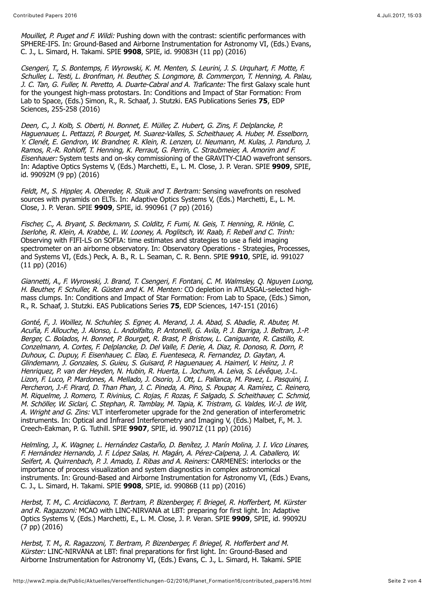Mouillet, P. Puget and F. Wildi: Pushing down with the contrast: scientific performances with SPHERE-IFS. In: Ground-Based and Airborne Instrumentation for Astronomy VI, (Eds.) Evans, C. J., L. Simard, H. Takami. SPIE **9908**, SPIE, id. 99083H (11 pp) (2016)

Csengeri, T., S. Bontemps, F. Wyrowski, K. M. Menten, S. Leurini, J. S. Urquhart, F. Motte, F. Schuller, L. Testi, L. Bronfman, H. Beuther, S. Longmore, B. Commerçon, T. Henning, A. Palau, J. C. Tan, G. Fuller, N. Peretto, A. Duarte-Cabral and A. Traficante: The first Galaxy scale hunt for the youngest high-mass protostars. In: Conditions and Impact of Star Formation: From Lab to Space, (Eds.) Simon, R., R. Schaaf, J. Stutzki. EAS Publications Series **75**, EDP Sciences, 255-258 (2016)

Deen, C., J. Kolb, S. Oberti, H. Bonnet, E. Müller, Z. Hubert, G. Zins, F. Delplancke, P. Haguenauer, L. Pettazzi, P. Bourget, M. Suarez-Valles, S. Scheithauer, A. Huber, M. Esselborn, Y. Clenét, E. Gendron, W. Brandner, R. Klein, R. Lenzen, U. Neumann, M. Kulas, J. Panduro, J. Ramos, R.-R. Rohloff, T. Henning, K. Perraut, G. Perrin, C. Straubmeier, A. Amorim and F. Eisenhauer: System tests and on-sky commissioning of the GRAVITY-CIAO wavefront sensors. In: Adaptive Optics Systems V, (Eds.) Marchetti, E., L. M. Close, J. P. Veran. SPIE **9909**, SPIE, id. 99092M (9 pp) (2016)

Feldt, M., S. Hippler, A. Obereder, R. Stuik and T. Bertram: Sensing wavefronts on resolved sources with pyramids on ELTs. In: Adaptive Optics Systems V, (Eds.) Marchetti, E., L. M. Close, J. P. Veran. SPIE **9909**, SPIE, id. 990961 (7 pp) (2016)

Fischer, C., A. Bryant, S. Beckmann, S. Colditz, F. Fumi, N. Geis, T. Henning, R. Hönle, C. Iserlohe, R. Klein, A. Krabbe, L. W. Looney, A. Poglitsch, W. Raab, F. Rebell and C. Trinh: Observing with FIFI-LS on SOFIA: time estimates and strategies to use a field imaging spectrometer on an airborne observatory. In: Observatory Operations - Strategies, Processes, and Systems VI, (Eds.) Peck, A. B., R. L. Seaman, C. R. Benn. SPIE **9910**, SPIE, id. 991027 (11 pp) (2016)

Giannetti, A., F. Wyrowski, J. Brand, T. Csengeri, F. Fontani, C. M. Walmsley, Q. Nguyen Luong, H. Beuther, F. Schuller, R. Güsten and K. M. Menten: CO depletion in ATLASGAL-selected highmass clumps. In: Conditions and Impact of Star Formation: From Lab to Space, (Eds.) Simon, R., R. Schaaf, J. Stutzki. EAS Publications Series **75**, EDP Sciences, 147-151 (2016)

Gonté, F., J. Woillez, N. Schuhler, S. Egner, A. Merand, J. A. Abad, S. Abadie, R. Abuter, M. Acuña, F. Allouche, J. Alonso, L. Andolfalto, P. Antonelli, G. Avila, P. J. Barriga, J. Beltran, J.-P. Berger, C. Bolados, H. Bonnet, P. Bourget, R. Brast, P. Bristow, L. Caniguante, R. Castillo, R. Conzelmann, A. Cortes, F. Delplancke, D. Del Valle, F. Derie, A. Diaz, R. Donoso, R. Dorn, P. Duhoux, C. Dupuy, F. Eisenhauer, C. Elao, E. Fuenteseca, R. Fernandez, D. Gaytan, A. Glindemann, J. Gonzales, S. Guieu, S. Guisard, P. Haguenauer, A. Haimerl, V. Heinz, J. P. Henriquez, P. van der Heyden, N. Hubin, R. Huerta, L. Jochum, A. Leiva, S. Lévêque, J.-L. Lizon, F. Luco, P. Mardones, A. Mellado, J. Osorio, J. Ott, L. Pallanca, M. Pavez, L. Pasquini, I. Percheron, J.-F. Pirard, D. Than Phan, J. C. Pineda, A. Pino, S. Poupar, A. Ramírez, C. Reinero, M. Riquelme, J. Romero, T. Rivinius, C. Rojas, F. Rozas, F. Salgado, S. Scheithauer, C. Schmid, M. Schöller, W. Siclari, C. Stephan, R. Tamblay, M. Tapia, K. Tristram, G. Valdes, W.-J. de Wit, A. Wright and G. Zins: VLT interferometer upgrade for the 2nd generation of interferometric instruments. In: Optical and Infrared Interferometry and Imaging V, (Eds.) Malbet, F., M. J. Creech-Eakman, P. G. Tuthill. SPIE **9907**, SPIE, id. 99071Z (11 pp) (2016)

Helmling, J., K. Wagner, L. Hernández Castaño, D. Benítez, J. Marín Molina, J. I. Vico Linares, F. Hernández Hernando, J. F. López Salas, H. Magán, A. Pérez-Calpena, J. A. Caballero, W. Seifert, A. Quirrenbach, P. J. Amado, I. Ribas and A. Reiners: CARMENES: interlocks or the importance of process visualization and system diagnostics in complex astronomical instruments. In: Ground-Based and Airborne Instrumentation for Astronomy VI, (Eds.) Evans, C. J., L. Simard, H. Takami. SPIE **9908**, SPIE, id. 99086B (11 pp) (2016)

Herbst, T. M., C. Arcidiacono, T. Bertram, P. Bizenberger, F. Briegel, R. Hofferbert, M. Kürster and R. Ragazzoni: MCAO with LINC-NIRVANA at LBT: preparing for first light. In: Adaptive Optics Systems V, (Eds.) Marchetti, E., L. M. Close, J. P. Veran. SPIE **9909**, SPIE, id. 99092U (7 pp) (2016)

Herbst, T. M., R. Ragazzoni, T. Bertram, P. Bizenberger, F. Briegel, R. Hofferbert and M. Kürster: LINC-NIRVANA at LBT: final preparations for first light. In: Ground-Based and Airborne Instrumentation for Astronomy VI, (Eds.) Evans, C. J., L. Simard, H. Takami. SPIE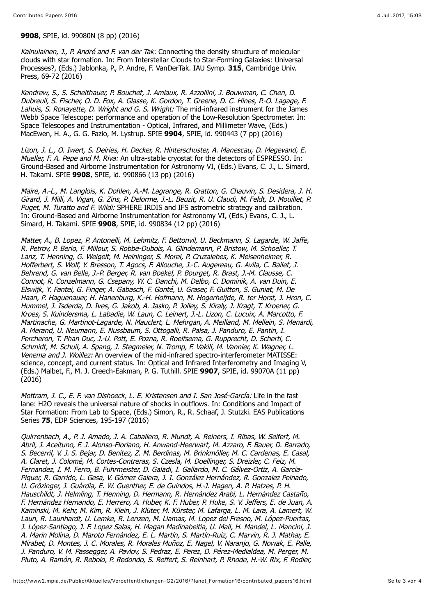#### **9908**, SPIE, id. 99080N (8 pp) (2016)

Kainulainen, J., P. André and F. van der Tak: Connecting the density structure of molecular clouds with star formation. In: From Interstellar Clouds to Star-Forming Galaxies: Universal Processes?, (Eds.) Jablonka, P., P. Andre, F. VanDerTak. IAU Symp. **315**, Cambridge Univ. Press, 69-72 (2016)

Kendrew, S., S. Scheithauer, P. Bouchet, J. Amiaux, R. Azzollini, J. Bouwman, C. Chen, D. Dubreuil, S. Fischer, O. D. Fox, A. Glasse, K. Gordon, T. Greene, D. C. Hines, P.-O. Lagage, F. Lahuis, S. Ronayette, D. Wright and G. S. Wright: The mid-infrared instrument for the James Webb Space Telescope: performance and operation of the Low-Resolution Spectrometer. In: Space Telescopes and Instrumentation - Optical, Infrared, and Millimeter Wave, (Eds.) MacEwen, H. A., G. G. Fazio, M. Lystrup. SPIE **9904**, SPIE, id. 990443 (7 pp) (2016)

Lizon, J. L., O. Iwert, S. Deiries, H. Decker, R. Hinterschuster, A. Manescau, D. Megevand, E. Mueller, F. A. Pepe and M. Riva: An ultra-stable cryostat for the detectors of ESPRESSO. In: Ground-Based and Airborne Instrumentation for Astronomy VI, (Eds.) Evans, C. J., L. Simard, H. Takami. SPIE **9908**, SPIE, id. 990866 (13 pp) (2016)

Maire, A.-L., M. Langlois, K. Dohlen, A.-M. Lagrange, R. Gratton, G. Chauvin, S. Desidera, J. H. Girard, J. Milli, A. Vigan, G. Zins, P. Delorme, J.-L. Beuzit, R. U. Claudi, M. Feldt, D. Mouillet, P. Puget, M. Turatto and F. Wildi: SPHERE IRDIS and IFS astrometric strategy and calibration. In: Ground-Based and Airborne Instrumentation for Astronomy VI, (Eds.) Evans, C. J., L. Simard, H. Takami. SPIE **9908**, SPIE, id. 990834 (12 pp) (2016)

Matter, A., B. Lopez, P. Antonelli, M. Lehmitz, F. Bettonvil, U. Beckmann, S. Lagarde, W. Jaffe, R. Petrov, P. Berio, F. Millour, S. Robbe-Dubois, A. Glindemann, P. Bristow, M. Schoeller, T. Lanz, T. Henning, G. Weigelt, M. Heininger, S. Morel, P. Cruzalebes, K. Meisenheimer, R. Hofferbert, S. Wolf, Y. Bresson, T. Agocs, F. Allouche, J.-C. Augereau, G. Avila, C. Bailet, J. Behrend, G. van Belle, J.-P. Berger, R. van Boekel, P. Bourget, R. Brast, J.-M. Clausse, C. Connot, R. Conzelmann, G. Csepany, W. C. Danchi, M. Delbo, C. Dominik, A. van Duin, E. Elswijk, Y. Fantei, G. Finger, A. Gabasch, F. Gonté, U. Graser, F. Guitton, S. Guniat, M. De Haan, P. Haguenauer, H. Hanenburg, K.-H. Hofmann, M. Hogerheijde, R. ter Horst, J. Hron, C. Hummel, J. Isderda, D. Ives, G. Jakob, A. Jasko, P. Jolley, S. Kiraly, J. Kragt, T. Kroener, G. Kroes, S. Kuindersma, L. Labadie, W. Laun, C. Leinert, J.-L. Lizon, C. Lucuix, A. Marcotto, F. Martinache, G. Martinot-Lagarde, N. Mauclert, L. Mehrgan, A. Meilland, M. Mellein, S. Menardi, A. Merand, U. Neumann, E. Nussbaum, S. Ottogalli, R. Palsa, J. Panduro, E. Pantin, I. Percheron, T. Phan Duc, J.-U. Pott, E. Pozna, R. Roelfsema, G. Rupprecht, D. Schertl, C. Schmidt, M. Schuil, A. Spang, J. Stegmeier, N. Tromp, F. Vakili, M. Vannier, K. Wagner, L. Venema and J. Woillez: An overview of the mid-infrared spectro-interferometer MATISSE: science, concept, and current status. In: Optical and Infrared Interferometry and Imaging V, (Eds.) Malbet, F., M. J. Creech-Eakman, P. G. Tuthill. SPIE **9907**, SPIE, id. 99070A (11 pp)  $(2016)$ 

Mottram, J. C., E. F. van Dishoeck, L. E. Kristensen and I. San José-García: Life in the fast lane: H2O reveals the universal nature of shocks in outflows. In: Conditions and Impact of Star Formation: From Lab to Space, (Eds.) Simon, R., R. Schaaf, J. Stutzki. EAS Publications Series **75**, EDP Sciences, 195-197 (2016)

Quirrenbach, A., P. J. Amado, J. A. Caballero, R. Mundt, A. Reiners, I. Ribas, W. Seifert, M. Abril, J. Aceituno, F. J. Alonso-Floriano, H. Anwand-Heerwart, M. Azzaro, F. Bauer, D. Barrado, S. Becerril, V. J. S. Bejar, D. Benitez, Z. M. Berdinas, M. Brinkmöller, M. C. Cardenas, E. Casal, A. Claret, J. Colomé, M. Cortes-Contreras, S. Czesla, M. Doellinger, S. Dreizler, C. Feiz, M. Fernandez, I. M. Ferro, B. Fuhrmeister, D. Galadi, I. Gallardo, M. C. Gálvez-Ortiz, A. Garcia-Piquer, R. Garrido, L. Gesa, V. Gómez Galera, J. I. González Hernández, R. Gonzalez Peinado, U. Grözinger, J. Guàrdia, E. W. Guenther, E. de Guindos, H.-J. Hagen, A. P. Hatzes, P. H. Hauschildt, J. Helmling, T. Henning, D. Hermann, R. Hernández Arabi, L. Hernández Castaño, F. Hernández Hernando, E. Herrero, A. Huber, K. F. Huber, P. Huke, S. V. Jeffers, E. de Juan, A. Kaminski, M. Kehr, M. Kim, R. Klein, J. Klüter, M. Kürster, M. Lafarga, L. M. Lara, A. Lamert, W. Laun, R. Launhardt, U. Lemke, R. Lenzen, M. Llamas, M. Lopez del Fresno, M. López-Puertas, J. López-Santiago, J. F. Lopez Salas, H. Magan Madinabeitia, U. Mall, H. Mandel, L. Mancini, J. A. Marin Molina, D. Maroto Fernández, E. L. Martín, S. Martín-Ruiz, C. Marvin, R. J. Mathar, E. Mirabet, D. Montes, J. C. Morales, R. Morales Muñoz, E. Nagel, V. Naranjo, G. Nowak, E. Palle, J. Panduro, V. M. Passegger, A. Pavlov, S. Pedraz, E. Perez, D. Pérez-Medialdea, M. Perger, M. Pluto, A. Ramón, R. Rebolo, P. Redondo, S. Reffert, S. Reinhart, P. Rhode, H.-W. Rix, F. Rodler,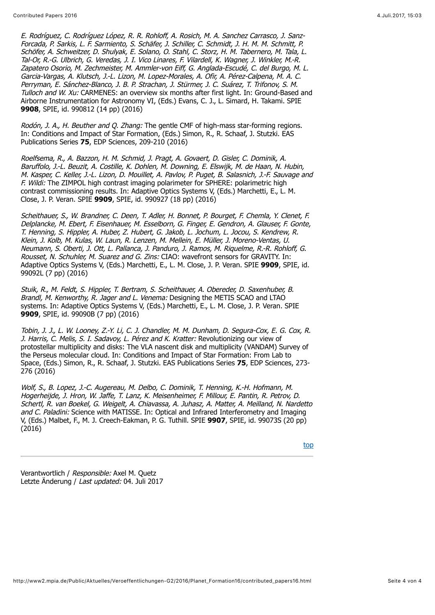E. Rodríguez, C. Rodríguez López, R. R. Rohloff, A. Rosich, M. A. Sanchez Carrasco, J. Sanz-Forcada, P. Sarkis, L. F. Sarmiento, S. Schäfer, J. Schiller, C. Schmidt, J. H. M. M. Schmitt, P. Schöfer, A. Schweitzer, D. Shulyak, E. Solano, O. Stahl, C. Storz, H. M. Tabernero, M. Tala, L. Tal-Or, R.-G. Ulbrich, G. Veredas, J. I. Vico Linares, F. Vilardell, K. Wagner, J. Winkler, M.-R. Zapatero Osorio, M. Zechmeister, M. Ammler-von Eiff, G. Anglada-Escudé, C. del Burgo, M. L. Garcia-Vargas, A. Klutsch, J.-L. Lizon, M. Lopez-Morales, A. Ofir, A. Pérez-Calpena, M. A. C. Perryman, E. Sánchez-Blanco, J. B. P. Strachan, J. Stürmer, J. C. Suárez, T. Trifonov, S. M. Tulloch and W. Xu: CARMENES: an overview six months after first light. In: Ground-Based and Airborne Instrumentation for Astronomy VI, (Eds.) Evans, C. J., L. Simard, H. Takami. SPIE **9908**, SPIE, id. 990812 (14 pp) (2016)

Rodón, J. A., H. Beuther and O. Zhang: The gentle CMF of high-mass star-forming regions. In: Conditions and Impact of Star Formation, (Eds.) Simon, R., R. Schaaf, J. Stutzki. EAS Publications Series **75**, EDP Sciences, 209-210 (2016)

Roelfsema, R., A. Bazzon, H. M. Schmid, J. Pragt, A. Govaert, D. Gisler, C. Dominik, A. Baruffolo, J.-L. Beuzit, A. Costille, K. Dohlen, M. Downing, E. Elswijk, M. de Haan, N. Hubin, M. Kasper, C. Keller, J.-L. Lizon, D. Mouillet, A. Pavlov, P. Puget, B. Salasnich, J.-F. Sauvage and F. Wildi: The ZIMPOL high contrast imaging polarimeter for SPHERE: polarimetric high contrast commissioning results. In: Adaptive Optics Systems V, (Eds.) Marchetti, E., L. M. Close, J. P. Veran. SPIE **9909**, SPIE, id. 990927 (18 pp) (2016)

Scheithauer, S., W. Brandner, C. Deen, T. Adler, H. Bonnet, P. Bourget, F. Chemla, Y. Clenet, F. Delplancke, M. Ebert, F. Eisenhauer, M. Esselborn, G. Finger, E. Gendron, A. Glauser, F. Gonte, T. Henning, S. Hippler, A. Huber, Z. Hubert, G. Jakob, L. Jochum, L. Jocou, S. Kendrew, R. Klein, J. Kolb, M. Kulas, W. Laun, R. Lenzen, M. Mellein, E. Müller, J. Moreno-Ventas, U. Neumann, S. Oberti, J. Ott, L. Pallanca, J. Panduro, J. Ramos, M. Riquelme, R.-R. Rohloff, G. Rousset, N. Schuhler, M. Suarez and G. Zins: CIAO: wavefront sensors for GRAVITY. In: Adaptive Optics Systems V, (Eds.) Marchetti, E., L. M. Close, J. P. Veran. SPIE **9909**, SPIE, id. 99092L (7 pp) (2016)

Stuik, R., M. Feldt, S. Hippler, T. Bertram, S. Scheithauer, A. Obereder, D. Saxenhuber, B. Brandl, M. Kenworthy, R. Jager and L. Venema: Designing the METIS SCAO and LTAO systems. In: Adaptive Optics Systems V, (Eds.) Marchetti, E., L. M. Close, J. P. Veran. SPIE **9909**, SPIE, id. 99090B (7 pp) (2016)

Tobin, J. J., L. W. Looney, Z.-Y. Li, C. J. Chandler, M. M. Dunham, D. Segura-Cox, E. G. Cox, R. J. Harris, C. Melis, S. I. Sadavoy, L. Pérez and K. Kratter: Revolutionizing our view of protostellar multiplicity and disks: The VLA nascent disk and multiplicity (VANDAM) Survey of the Perseus molecular cloud. In: Conditions and Impact of Star Formation: From Lab to Space, (Eds.) Simon, R., R. Schaaf, J. Stutzki. EAS Publications Series **75**, EDP Sciences, 273- 276 (2016)

Wolf, S., B. Lopez, J.-C. Augereau, M. Delbo, C. Dominik, T. Henning, K.-H. Hofmann, M. Hogerheijde, J. Hron, W. Jaffe, T. Lanz, K. Meisenheimer, F. Millour, E. Pantin, R. Petrov, D. Schertl, R. van Boekel, G. Weigelt, A. Chiavassa, A. Juhasz, A. Matter, A. Meilland, N. Nardetto and C. Paladini: Science with MATISSE. In: Optical and Infrared Interferometry and Imaging V, (Eds.) Malbet, F., M. J. Creech-Eakman, P. G. Tuthill. SPIE **9907**, SPIE, id. 99073S (20 pp)  $(2016)$ 

[top](#page-22-0)

Verantwortlich / Responsible: Axel M. Quetz Letzte Änderung / Last updated: 04. Juli 2017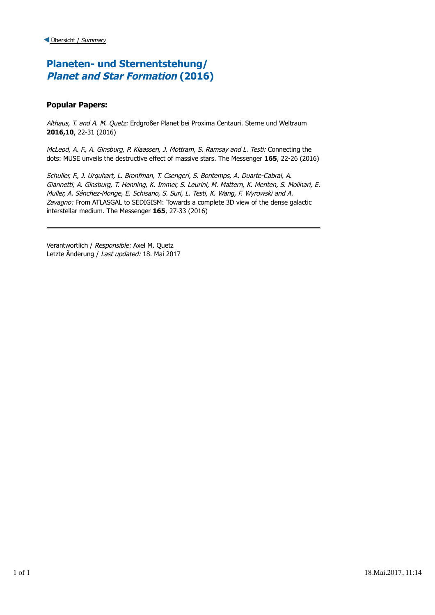## **Planeten- und Sternentstehung/ Planet and Star Formation (2016)**

### **Popular Papers:**

Althaus, T. and A. M. Quetz: Erdgroßer Planet bei Proxima Centauri. Sterne und Weltraum **2016,10**, 22-31 (2016)

McLeod, A. F., A. Ginsburg, P. Klaassen, J. Mottram, S. Ramsay and L. Testi: Connecting the dots: MUSE unveils the destructive effect of massive stars. The Messenger **165**, 22-26 (2016)

Schuller, F., J. Urquhart, L. Bronfman, T. Csengeri, S. Bontemps, A. Duarte-Cabral, A. Giannetti, A. Ginsburg, T. Henning, K. Immer, S. Leurini, M. Mattern, K. Menten, S. Molinari, E. Muller, A. Sánchez-Monge, E. Schisano, S. Suri, L. Testi, K. Wang, F. Wyrowski and A. Zavagno: From ATLASGAL to SEDIGISM: Towards a complete 3D view of the dense galactic interstellar medium. The Messenger **165**, 27-33 (2016)

Verantwortlich / Responsible: Axel M. Quetz Letzte Änderung / Last updated: 18. Mai 2017